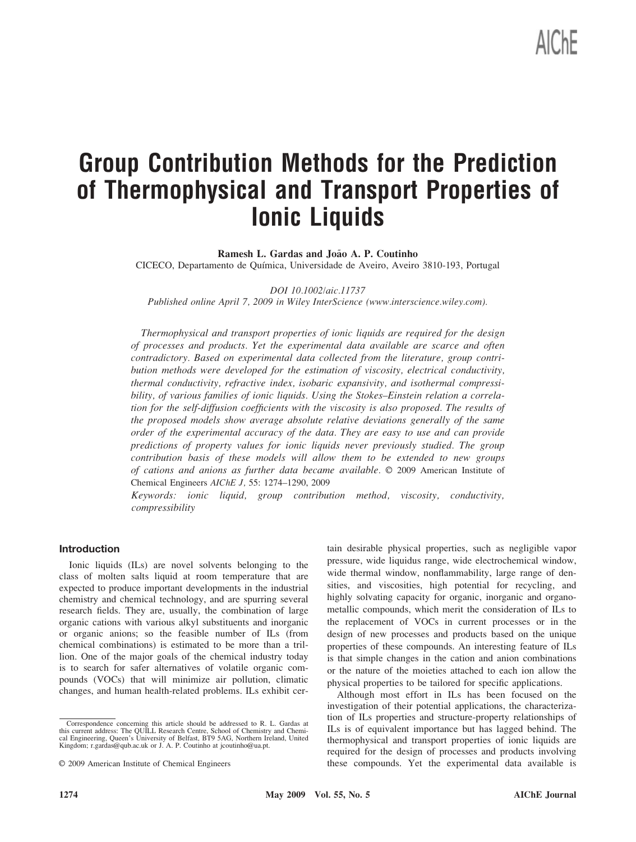# Group Contribution Methods for the Prediction of Thermophysical and Transport Properties of Ionic Liquids

Ramesh L. Gardas and João A. P. Coutinho

CICECO, Departamento de Quı´mica, Universidade de Aveiro, Aveiro 3810-193, Portugal

DOI 10.1002/aic.11737

Published online April 7, 2009 in Wiley InterScience (www.interscience.wiley.com).

Thermophysical and transport properties of ionic liquids are required for the design of processes and products. Yet the experimental data available are scarce and often contradictory. Based on experimental data collected from the literature, group contribution methods were developed for the estimation of viscosity, electrical conductivity, thermal conductivity, refractive index, isobaric expansivity, and isothermal compressibility, of various families of ionic liquids. Using the Stokes–Einstein relation a correlation for the self-diffusion coefficients with the viscosity is also proposed. The results of the proposed models show average absolute relative deviations generally of the same order of the experimental accuracy of the data. They are easy to use and can provide predictions of property values for ionic liquids never previously studied. The group contribution basis of these models will allow them to be extended to new groups of cations and anions as further data became available.  $\heartsuit$  2009 American Institute of Chemical Engineers AIChE J, 55: 1274–1290, 2009

Keywords: ionic liquid, group contribution method, viscosity, conductivity, compressibility

# Introduction

Ionic liquids (ILs) are novel solvents belonging to the class of molten salts liquid at room temperature that are expected to produce important developments in the industrial chemistry and chemical technology, and are spurring several research fields. They are, usually, the combination of large organic cations with various alkyl substituents and inorganic or organic anions; so the feasible number of ILs (from chemical combinations) is estimated to be more than a trillion. One of the major goals of the chemical industry today is to search for safer alternatives of volatile organic compounds (VOCs) that will minimize air pollution, climatic changes, and human health-related problems. ILs exhibit certain desirable physical properties, such as negligible vapor pressure, wide liquidus range, wide electrochemical window, wide thermal window, nonflammability, large range of densities, and viscosities, high potential for recycling, and highly solvating capacity for organic, inorganic and organometallic compounds, which merit the consideration of ILs to the replacement of VOCs in current processes or in the design of new processes and products based on the unique properties of these compounds. An interesting feature of ILs is that simple changes in the cation and anion combinations or the nature of the moieties attached to each ion allow the physical properties to be tailored for specific applications.

Although most effort in ILs has been focused on the investigation of their potential applications, the characterization of ILs properties and structure-property relationships of ILs is of equivalent importance but has lagged behind. The thermophysical and transport properties of ionic liquids are required for the design of processes and products involving these compounds. Yet the experimental data available is

Correspondence concerning this article should be addressed to R. L. Gardas at this current address: The QUILL Research Centre, School of Chemistry and Chemi-cal Engineering, Queen's University of Belfast, BT9 5AG, Northern Ireland, United Kingdom; r.gardas@qub.ac.uk or J. A. P. Coutinho at jcoutinho@ua.pt.

 $\odot$  2009 American Institute of Chemical Engineers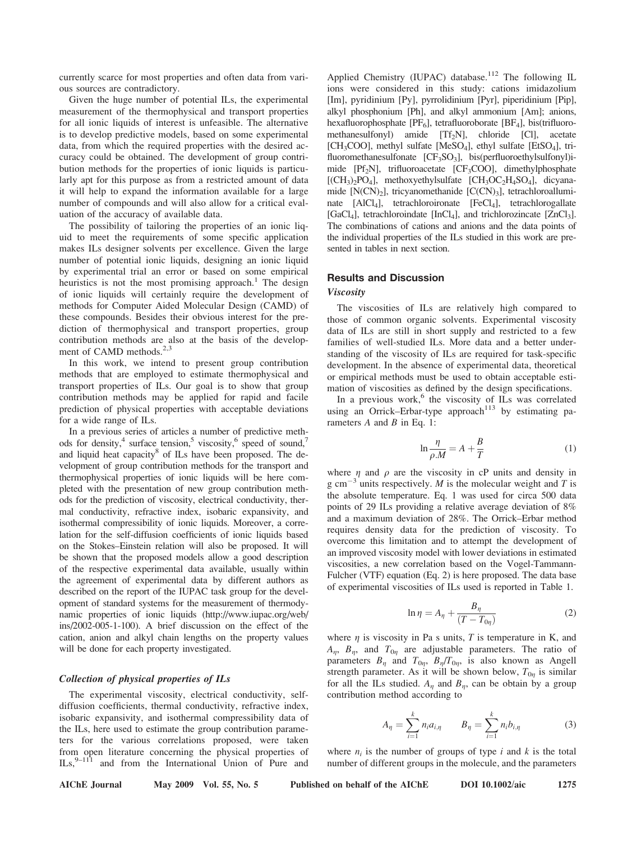currently scarce for most properties and often data from various sources are contradictory.

Given the huge number of potential ILs, the experimental measurement of the thermophysical and transport properties for all ionic liquids of interest is unfeasible. The alternative is to develop predictive models, based on some experimental data, from which the required properties with the desired accuracy could be obtained. The development of group contribution methods for the properties of ionic liquids is particularly apt for this purpose as from a restricted amount of data it will help to expand the information available for a large number of compounds and will also allow for a critical evaluation of the accuracy of available data.

The possibility of tailoring the properties of an ionic liquid to meet the requirements of some specific application makes ILs designer solvents per excellence. Given the large number of potential ionic liquids, designing an ionic liquid by experimental trial an error or based on some empirical heuristics is not the most promising approach.<sup>1</sup> The design of ionic liquids will certainly require the development of methods for Computer Aided Molecular Design (CAMD) of these compounds. Besides their obvious interest for the prediction of thermophysical and transport properties, group contribution methods are also at the basis of the development of CAMD methods.<sup>2,3</sup>

In this work, we intend to present group contribution methods that are employed to estimate thermophysical and transport properties of ILs. Our goal is to show that group contribution methods may be applied for rapid and facile prediction of physical properties with acceptable deviations for a wide range of ILs.

In a previous series of articles a number of predictive methods for density,<sup>4</sup> surface tension,<sup>5</sup> viscosity,<sup>6</sup> speed of sound,<sup>7</sup> and liquid heat capacity<sup>8</sup> of ILs have been proposed. The development of group contribution methods for the transport and thermophysical properties of ionic liquids will be here completed with the presentation of new group contribution methods for the prediction of viscosity, electrical conductivity, thermal conductivity, refractive index, isobaric expansivity, and isothermal compressibility of ionic liquids. Moreover, a correlation for the self-diffusion coefficients of ionic liquids based on the Stokes–Einstein relation will also be proposed. It will be shown that the proposed models allow a good description of the respective experimental data available, usually within the agreement of experimental data by different authors as described on the report of the IUPAC task group for the development of standard systems for the measurement of thermodynamic properties of ionic liquids (http://www.iupac.org/web/ ins/2002-005-1-100). A brief discussion on the effect of the cation, anion and alkyl chain lengths on the property values will be done for each property investigated.

## Collection of physical properties of ILs

The experimental viscosity, electrical conductivity, selfdiffusion coefficients, thermal conductivity, refractive index, isobaric expansivity, and isothermal compressibility data of the ILs, here used to estimate the group contribution parameters for the various correlations proposed, were taken from open literature concerning the physical properties of  $ILs<sup>9–111</sup>$  and from the International Union of Pure and Applied Chemistry (IUPAC) database.<sup>112</sup> The following IL ions were considered in this study: cations imidazolium [Im], pyridinium [Py], pyrrolidinium [Pyr], piperidinium [Pip], alkyl phosphonium [Ph], and alkyl ammonium [Am]; anions, hexafluorophosphate [PF<sub>6</sub>], tetrafluoroborate [BF<sub>4</sub>], bis(trifluoromethanesulfonyl) amide [Tf<sub>2</sub>N], chloride [Cl], acetate [CH<sub>3</sub>COO], methyl sulfate [MeSO<sub>4</sub>], ethyl sulfate [EtSO<sub>4</sub>], trifluoromethanesulfonate [CF<sub>3</sub>SO<sub>3</sub>], bis(perfluoroethylsulfonyl)imide  $[PF_2N]$ , trifluoroacetate  $[CF_3COO]$ , dimethylphosphate  $[CH<sub>3</sub>)<sub>2</sub>PO<sub>4</sub>],$  methoxyethylsulfate  $[CH<sub>3</sub>OC<sub>2</sub>H<sub>4</sub>SO<sub>4</sub>],$  dicyanamide [N(CN)<sub>2</sub>], tricyanomethanide [C(CN)<sub>3</sub>], tetrachloroalluminate [AlCl<sub>4</sub>], tetrachloroironate [FeCl<sub>4</sub>], tetrachlorogallate [GaCl<sub>4</sub>], tetrachloroindate [InCl<sub>4</sub>], and trichlorozincate [ZnCl<sub>3</sub>]. The combinations of cations and anions and the data points of the individual properties of the ILs studied in this work are presented in tables in next section.

#### Results and Discussion

#### Viscosity

The viscosities of ILs are relatively high compared to those of common organic solvents. Experimental viscosity data of ILs are still in short supply and restricted to a few families of well-studied ILs. More data and a better understanding of the viscosity of ILs are required for task-specific development. In the absence of experimental data, theoretical or empirical methods must be used to obtain acceptable estimation of viscosities as defined by the design specifications.

In a previous work,<sup>6</sup> the viscosity of ILs was correlated using an Orrick–Erbar-type approach<sup>113</sup> by estimating parameters  $A$  and  $B$  in Eq. 1:

$$
\ln \frac{\eta}{\rho.M} = A + \frac{B}{T}
$$
 (1)

where  $\eta$  and  $\rho$  are the viscosity in cP units and density in g cm<sup>-3</sup> units respectively. M is the molecular weight and T is the absolute temperature. Eq. 1 was used for circa 500 data points of 29 ILs providing a relative average deviation of 8% and a maximum deviation of 28%. The Orrick–Erbar method requires density data for the prediction of viscosity. To overcome this limitation and to attempt the development of an improved viscosity model with lower deviations in estimated viscosities, a new correlation based on the Vogel-Tammann-Fulcher (VTF) equation (Eq. 2) is here proposed. The data base of experimental viscosities of ILs used is reported in Table 1.

$$
\ln \eta = A_{\eta} + \frac{B_{\eta}}{(T - T_{0\eta})}
$$
 (2)

where  $\eta$  is viscosity in Pa s units, T is temperature in K, and  $A_{\eta}$ ,  $B_{\eta}$ , and  $T_{0\eta}$  are adjustable parameters. The ratio of parameters  $B_{\eta}$  and  $T_{0\eta}$ ,  $B_{\eta}/T_{0\eta}$ , is also known as Angell strength parameter. As it will be shown below,  $T_{0\eta}$  is similar for all the ILs studied.  $A_{\eta}$  and  $B_{\eta}$ , can be obtain by a group contribution method according to

$$
A_{\eta} = \sum_{i=1}^{k} n_i a_{i,\eta} \qquad B_{\eta} = \sum_{i=1}^{k} n_i b_{i,\eta} \tag{3}
$$

where  $n_i$  is the number of groups of type i and k is the total number of different groups in the molecule, and the parameters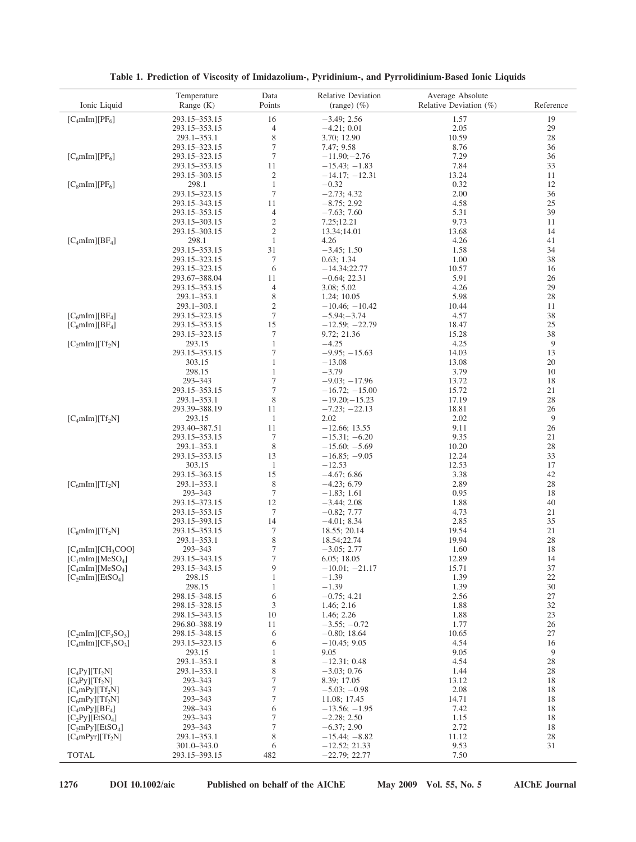| Ionic Liquid                             | Temperature<br>Range $(K)$     | Data<br>Points         | Relative Deviation<br>$(\text{range})$ $(\%)$ | Average Absolute<br>Relative Deviation $(\%)$ | Reference |
|------------------------------------------|--------------------------------|------------------------|-----------------------------------------------|-----------------------------------------------|-----------|
| $[C_4mIm][PF_6]$                         | 293.15–353.15                  | 16                     | $-3.49; 2.56$                                 | 1.57                                          | 19        |
|                                          | 293.15-353.15                  | 4                      | $-4.21; 0.01$                                 | 2.05                                          | 29        |
|                                          | 293.1–353.1                    | 8                      | 3.70; 12.90                                   | 10.59                                         | 28        |
|                                          | 293.15-323.15                  | $\tau$                 | 7.47; 9.58                                    | 8.76                                          | 36        |
| [C <sub>6</sub> mlm][PF <sub>6</sub> ]   | 293.15-323.15                  | 7                      | $-11.90; -2.76$                               | 7.29                                          | 36        |
|                                          | 293.15–353.15                  | 11                     | $-15.43; -1.83$                               | 7.84                                          | 33        |
|                                          | 293.15-303.15                  | $\mathfrak{2}$         | $-14.17; -12.31$                              | 13.24                                         | 11        |
| [C <sub>8</sub> mlm][PF <sub>6</sub> ]   | 298.1                          | $\mathbf{1}$           | $-0.32$                                       | 0.32                                          | 12        |
|                                          | 293.15-323.15                  | 7                      | $-2.73; 4.32$                                 | 2.00                                          | 36        |
|                                          | 293.15-343.15                  | 11<br>$\overline{4}$   | $-8.75; 2.92$<br>$-7.63; 7.60$                | 4.58<br>5.31                                  | 25<br>39  |
|                                          | 293.15–353.15<br>293.15–303.15 | $\mathfrak{2}$         | 7.25;12.21                                    | 9.73                                          | 11        |
|                                          | 293.15–303.15                  | $\mathfrak{2}$         | 13.34;14.01                                   | 13.68                                         | 14        |
| $[C_4mIm][BF_4]$                         | 298.1                          | $\mathbf{1}$           | 4.26                                          | 4.26                                          | 41        |
|                                          | 293.15–353.15                  | 31                     | $-3.45; 1.50$                                 | 1.58                                          | 34        |
|                                          | 293.15-323.15                  | $\overline{7}$         | 0.63; 1.34                                    | 1.00                                          | 38        |
|                                          | 293.15–323.15                  | 6                      | $-14.34;22.77$                                | 10.57                                         | 16        |
|                                          | 293.67–388.04                  | 11                     | $-0.64; 22.31$                                | 5.91                                          | 26        |
|                                          | 293.15–353.15                  | $\overline{4}$         | 3.08; 5.02                                    | 4.26                                          | 29        |
|                                          | 293.1–353.1                    | 8                      | 1.24; 10.05                                   | 5.98                                          | 28        |
|                                          | 293.1–303.1                    | $\mathfrak{2}$         | $-10.46; -10.42$                              | 10.44                                         | 11        |
| [C <sub>6</sub> mlm][BF <sub>4</sub> ]   | 293.15–323.15                  | $\boldsymbol{7}$       | $-5.94 - 3.74$                                | 4.57                                          | 38        |
| [C <sub>8</sub> mlm][BF <sub>4</sub> ]   | 293.15–353.15                  | 15                     | $-12.59; -22.79$                              | 18.47                                         | 25        |
|                                          | 293.15-323.15                  | 7                      | 9.72; 21.36                                   | 15.28                                         | 38        |
| $[C_2mIm][Tf_2N]$                        | 293.15                         | $\mathbf{1}$           | $-4.25$                                       | 4.25                                          | 9         |
|                                          | 293.15-353.15                  | $\tau$                 | $-9.95; -15.63$                               | 14.03                                         | 13        |
|                                          | 303.15                         | $\mathbf{1}$           | $-13.08$                                      | 13.08                                         | 20        |
|                                          | 298.15<br>293-343              | $\mathbf{1}$<br>$\tau$ | $-3.79$<br>$-9.03; -17.96$                    | 3.79<br>13.72                                 | 10<br>18  |
|                                          | 293.15-353.15                  | $\tau$                 | $-16.72; -15.00$                              | 15.72                                         | 21        |
|                                          | 293.1–353.1                    | 8                      | $-19.20 - 15.23$                              | 17.19                                         | 28        |
|                                          | 293.39-388.19                  | 11                     | $-7.23; -22.13$                               | 18.81                                         | 26        |
| $[C_4mIm][Tf_2N]$                        | 293.15                         | $\mathbf{1}$           | 2.02                                          | 2.02                                          | 9         |
|                                          | 293.40-387.51                  | 11                     | $-12.66; 13.55$                               | 9.11                                          | 26        |
|                                          | 293.15-353.15                  | 7                      | $-15.31; -6.20$                               | 9.35                                          | 21        |
|                                          | 293.1–353.1                    | $\,$ 8 $\,$            | $-15.60; -5.69$                               | 10.20                                         | 28        |
|                                          | 293.15–353.15                  | 13                     | $-16.85; -9.05$                               | 12.24                                         | 33        |
|                                          | 303.15                         | $\mathbf{1}$           | $-12.53$                                      | 12.53                                         | 17        |
|                                          | 293.15–363.15                  | 15                     | $-4.67; 6.86$                                 | 3.38                                          | 42        |
| [C <sub>6</sub> mIm][Tf <sub>2</sub> N]  | 293.1–353.1                    | 8                      | $-4.23; 6.79$                                 | 2.89                                          | 28        |
|                                          | 293-343                        | 7                      | $-1.83; 1.61$                                 | 0.95                                          | 18        |
|                                          | 293.15-373.15                  | 12                     | $-3.44; 2.08$                                 | 1.88                                          | 40        |
|                                          | 293.15–353.15                  | $\tau$                 | $-0.82; 7.77$                                 | 4.73                                          | 21        |
|                                          | 293.15–393.15                  | 14                     | $-4.01; 8.34$                                 | 2.85                                          | 35        |
| $[C_8mIm][Tf_2N]$                        | 293.15–353.15<br>293.1-353.1   | 7<br>8                 | 18.55; 20.14<br>18.54;22.74                   | 19.54<br>19.94                                | 21<br>28  |
| $[C_4mIm][CH_3COO]$                      | 293–343                        | 7                      |                                               | 1.60                                          | 18        |
| $[C_1mIm][MeSO_4]$                       | 293.15-343.15                  | 7                      | $-3.05; 2.77$<br>6.05; 18.05                  | 12.89                                         | 14        |
| $[C_4mIm][MeSO_4]$                       | 293.15–343.15                  | 9                      | $-10.01; -21.17$                              | 15.71                                         | 37        |
| $[C_2mIm][EtSO_4]$                       | 298.15                         | $\mathbf{1}$           | $-1.39$                                       | 1.39                                          | 22        |
|                                          | 298.15                         | $\mathbf{1}$           | $-1.39$                                       | 1.39                                          | 30        |
|                                          | 298.15–348.15                  | 6                      | $-0.75; 4.21$                                 | 2.56                                          | 27        |
|                                          | 298.15–328.15                  | 3                      | 1.46; 2.16                                    | 1.88                                          | 32        |
|                                          | 298.15–343.15                  | 10                     | 1.46; 2.26                                    | 1.88                                          | 23        |
|                                          | 296.80–388.19                  | 11                     | $-3.55; -0.72$                                | 1.77                                          | 26        |
| $[C2mlm][CF3SO3]$                        | 298.15-348.15                  | 6                      | $-0.80; 18.64$                                | 10.65                                         | 27        |
| $[C_4mIm][CF_3SO_3]$                     | 293.15-323.15                  | 6                      | $-10.45; 9.05$                                | 4.54                                          | 16        |
|                                          | 293.15                         | 1                      | 9.05                                          | 9.05                                          | 9         |
|                                          | 293.1-353.1                    | 8                      | $-12.31; 0.48$                                | 4.54                                          | 28        |
| $[C_4Py][Tf_2N]$                         | 293.1-353.1                    | 8<br>7                 | $-3.03; 0.76$                                 | 1.44                                          | 28        |
| $[C_6Py][Tf_2N]$                         | 293-343                        | 7                      | 8.39; 17.05                                   | 13.12                                         | 18        |
| $[C_4mPy][Tf_2N]$                        | 293-343<br>293-343             | 7                      | $-5.03; -0.98$<br>11.08; 17.45                | 2.08<br>14.71                                 | 18<br>18  |
| $[C_6mPy][Tf_2N]$<br>$[C_4mPy][BF_4]$    | 298-343                        | 6                      | $-13.56; -1.95$                               | 7.42                                          | 18        |
| $[C_2Py][EtSO_4]$                        | 293-343                        | $\tau$                 | $-2.28; 2.50$                                 | 1.15                                          | 18        |
| [C <sub>2</sub> mPy][EtSO <sub>4</sub> ] | 293-343                        | $\tau$                 | $-6.37; 2.90$                                 | 2.72                                          | 18        |
| $[C_4mPyr][Tf_2N]$                       | 293.1–353.1                    | 8                      | $-15.44; -8.82$                               | 11.12                                         | $28\,$    |
|                                          | 301.0-343.0                    | 6                      | $-12.52; 21.33$                               | 9.53                                          | 31        |
| <b>TOTAL</b>                             | 293.15–393.15                  | 482                    | $-22.79; 22.77$                               | 7.50                                          |           |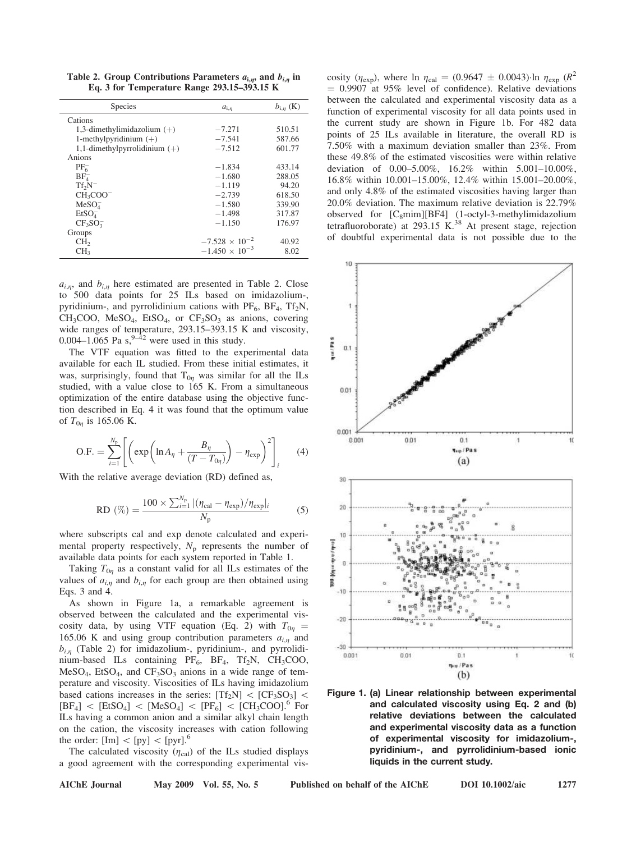Table 2. Group Contributions Parameters  $a_{i,n}$ , and  $b_{i,n}$  in Eq. 3 for Temperature Range 293.15–393.15 K

| <b>Species</b>                  | $a_{i,n}$               | $b_{i,n}$ (K) |
|---------------------------------|-------------------------|---------------|
| Cations                         |                         |               |
| 1,3-dimethylimidazolium $(+)$   | $-7.271$                | 510.51        |
| 1-methylpyridinium $(+)$        | $-7.541$                | 587.66        |
| 1,1-dimethylpyrrolidinium $(+)$ | $-7.512$                | 601.77        |
| Anions                          |                         |               |
| $PF_6^-$                        | $-1.834$                | 433.14        |
| $BF_{4}^{-}$                    | $-1.680$                | 288.05        |
| $Tf_2N^-$                       | $-1.119$                | 94.20         |
| $CH3COO-$                       | $-2.739$                | 618.50        |
| MeSO <sub>4</sub>               | $-1.580$                | 339.90        |
| EtSO <sub>4</sub>               | $-1.498$                | 317.87        |
| CF <sub>3</sub> SO <sub>3</sub> | $-1.150$                | 176.97        |
| Groups                          |                         |               |
| CH <sub>2</sub>                 | $-7.528 \times 10^{-2}$ | 40.92         |
| CH <sub>3</sub>                 | $-1.450 \times 10^{-3}$ | 8.02          |

 $a_{i,\eta}$ , and  $b_{i,\eta}$  here estimated are presented in Table 2. Close to 500 data points for 25 ILs based on imidazolium-, pyridinium-, and pyrrolidinium cations with  $PF_6$ ,  $BF_4$ ,  $Tf_2N$ ,  $CH<sub>3</sub>COO$ ,  $MeSO<sub>4</sub>$ ,  $EtSO<sub>4</sub>$ , or  $CF<sub>3</sub>SO<sub>3</sub>$  as anions, covering wide ranges of temperature, 293.15–393.15 K and viscosity, 0.004–1.065 Pa s,  $9-42$  were used in this study.

The VTF equation was fitted to the experimental data available for each IL studied. From these initial estimates, it was, surprisingly, found that  $T_{0n}$  was similar for all the ILs studied, with a value close to 165 K. From a simultaneous optimization of the entire database using the objective function described in Eq. 4 it was found that the optimum value of  $T_{0\eta}$  is 165.06 K.

$$
\text{O.F.} = \sum_{i=1}^{N_{\text{p}}} \left[ \left( \exp\left( \ln A_{\eta} + \frac{B_{\eta}}{(T - T_{0\eta})} \right) - \eta_{\text{exp}} \right)^{2} \right]_{i} \tag{4}
$$

With the relative average deviation (RD) defined as,

RD 
$$
(\%) = \frac{100 \times \sum_{i=1}^{N_p} |(\eta_{\text{cal}} - \eta_{\text{exp}})/\eta_{\text{exp}}|_i}{N_p}
$$
 (5)

where subscripts cal and exp denote calculated and experimental property respectively,  $N_p$  represents the number of available data points for each system reported in Table 1.

Taking  $T_{0\eta}$  as a constant valid for all ILs estimates of the values of  $a_{i,\eta}$  and  $b_{i,\eta}$  for each group are then obtained using Eqs. 3 and 4.

As shown in Figure 1a, a remarkable agreement is observed between the calculated and the experimental viscosity data, by using VTF equation (Eq. 2) with  $T_{0\eta}$  = 165.06 K and using group contribution parameters  $a_{i,\eta}$  and  $b_{i,\eta}$  (Table 2) for imidazolium-, pyridinium-, and pyrrolidi- $\text{min}$ -based ILs containing PF<sub>6</sub>, BF<sub>4</sub>, Tf<sub>2</sub>N, CH<sub>3</sub>COO,  $MeSO<sub>4</sub>$ , Et $SO<sub>4</sub>$ , and  $CF<sub>3</sub>SO<sub>3</sub>$  anions in a wide range of temperature and viscosity. Viscosities of ILs having imidazolium based cations increases in the series:  $[Tf_2N]$  <  $[CF_3SO_3]$  <  $[BF_4] < [EtSO_4] < [MeSO_4] < [PF_6] < [CH_3COO]$ .<sup>6</sup> For ILs having a common anion and a similar alkyl chain length on the cation, the viscosity increases with cation following the order:  $[Im] < [py] < [pyr]$ .<sup>6</sup>

The calculated viscosity  $(\eta_{cal})$  of the ILs studied displays a good agreement with the corresponding experimental vis-

cosity ( $\eta_{exp}$ ), where ln  $\eta_{cal} = (0.9647 \pm 0.0043)$ ·ln  $\eta_{exp} (R^2)$  $= 0.9907$  at 95% level of confidence). Relative deviations between the calculated and experimental viscosity data as a function of experimental viscosity for all data points used in the current study are shown in Figure 1b. For 482 data points of 25 ILs available in literature, the overall RD is 7.50% with a maximum deviation smaller than 23%. From these 49.8% of the estimated viscosities were within relative deviation of 0.00–5.00%, 16.2% within 5.001–10.00%, 16.8% within 10.001–15.00%, 12.4% within 15.001–20.00%, and only 4.8% of the estimated viscosities having larger than 20.0% deviation. The maximum relative deviation is 22.79% observed for [C<sub>8</sub>mim][BF4] (1-octyl-3-methylimidazolium tetrafluoroborate) at  $293.15$  K.<sup>38</sup> At present stage, rejection of doubtful experimental data is not possible due to the



Figure 1. (a) Linear relationship between experimental and calculated viscosity using Eq. 2 and (b) relative deviations between the calculated and experimental viscosity data as a function of experimental viscosity for imidazolium-, pyridinium-, and pyrrolidinium-based ionic liquids in the current study.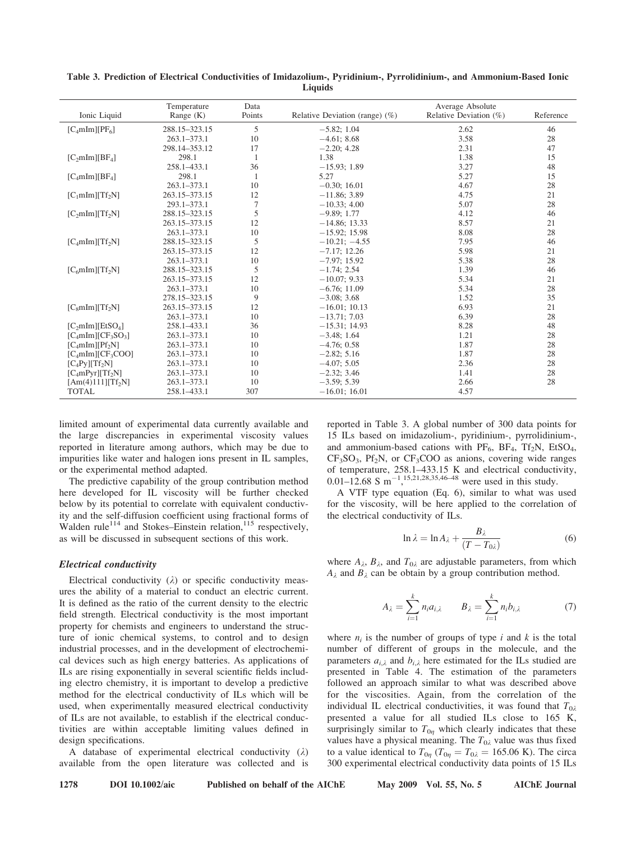|                                           | Temperature     | Data   |                                   | Average Absolute          |           |
|-------------------------------------------|-----------------|--------|-----------------------------------|---------------------------|-----------|
| Ionic Liquid                              | Range $(K)$     | Points | Relative Deviation (range) $(\%)$ | Relative Deviation $(\%)$ | Reference |
| $[C_4mIm][PF_6]$                          | 288.15-323.15   | 5      | $-5.82; 1.04$                     | 2.62                      | 46        |
|                                           | $263.1 - 373.1$ | 10     | $-4.61; 8.68$                     | 3.58                      | 28        |
|                                           | 298.14-353.12   | 17     | $-2.20; 4.28$                     | 2.31                      | 47        |
| $[C_2mIm][BF_4]$                          | 298.1           | 1      | 1.38                              | 1.38                      | 15        |
|                                           | 258.1-433.1     | 36     | $-15.93; 1.89$                    | 3.27                      | 48        |
| $[C_4mIm][BF_4]$                          | 298.1           | 1      | 5.27                              | 5.27                      | 15        |
|                                           | $263.1 - 373.1$ | 10     | $-0.30:16.01$                     | 4.67                      | 28        |
| $[C_1mIm][Tf_2N]$                         | 263.15-373.15   | 12     | $-11.86; 3.89$                    | 4.75                      | 21        |
|                                           | 293.1-373.1     | 7      | $-10.33; 4.00$                    | 5.07                      | 28        |
| $[C_2mIm][Tf_2N]$                         | 288.15-323.15   | 5      | $-9.89:1.77$                      | 4.12                      | 46        |
|                                           | 263.15-373.15   | 12     | $-14.86; 13.33$                   | 8.57                      | 21        |
|                                           | $263.1 - 373.1$ | 10     | $-15.92:15.98$                    | 8.08                      | 28        |
| $[C_4mIm][Tf_2N]$                         | 288.15-323.15   | 5      | $-10.21$ ; $-4.55$                | 7.95                      | 46        |
|                                           | 263.15-373.15   | 12     | $-7.17; 12.26$                    | 5.98                      | 21        |
|                                           | $263.1 - 373.1$ | 10     | $-7.97; 15.92$                    | 5.38                      | 28        |
| [C <sub>6</sub> mlm][Tf <sub>2</sub> N]   | 288.15-323.15   | 5      | $-1.74; 2.54$                     | 1.39                      | 46        |
|                                           | 263.15-373.15   | 12     | $-10.07; 9.33$                    | 5.34                      | 21        |
|                                           | $263.1 - 373.1$ | 10     | $-6.76; 11.09$                    | 5.34                      | 28        |
|                                           | 278.15-323.15   | 9      | $-3.08; 3.68$                     | 1.52                      | 35        |
| [C <sub>8</sub> mIm][Tf <sub>2</sub> N]   | 263.15-373.15   | 12     | $-16.01; 10.13$                   | 6.93                      | 21        |
|                                           | $263.1 - 373.1$ | 10     | $-13.71; 7.03$                    | 6.39                      | 28        |
| $[C_2mIm][EtSO_4]$                        | 258.1-433.1     | 36     | $-15.31; 14.93$                   | 8.28                      | 48        |
| $[C_4mIm][CF_3SO_3]$                      | $263.1 - 373.1$ | 10     | $-3.48:1.64$                      | 1.21                      | 28        |
| $[C_4mIm][Pf_2N]$                         | $263.1 - 373.1$ | 10     | $-4.76:0.58$                      | 1.87                      | 28        |
| [C <sub>4</sub> mlm][CF <sub>3</sub> COO] | $263.1 - 373.1$ | 10     | $-2.82; 5.16$                     | 1.87                      | 28        |
| $[C_4Py] [Tf_2N]$                         | $263.1 - 373.1$ | 10     | $-4.07:5.05$                      | 2.36                      | 28        |
| $[C_4mPyr][Tf_2N]$                        | $263.1 - 373.1$ | 10     | $-2.32; 3.46$                     | 1.41                      | 28        |
| $[Am(4)111][Tf_2N]$                       | $263.1 - 373.1$ | 10     | $-3.59; 5.39$                     | 2.66                      | 28        |
| <b>TOTAL</b>                              | 258.1-433.1     | 307    | $-16.01; 16.01$                   | 4.57                      |           |

Table 3. Prediction of Electrical Conductivities of Imidazolium-, Pyridinium-, Pyrrolidinium-, and Ammonium-Based Ionic Liquids

limited amount of experimental data currently available and the large discrepancies in experimental viscosity values reported in literature among authors, which may be due to impurities like water and halogen ions present in IL samples, or the experimental method adapted.

The predictive capability of the group contribution method here developed for IL viscosity will be further checked below by its potential to correlate with equivalent conductivity and the self-diffusion coefficient using fractional forms of Walden rule<sup>114</sup> and Stokes–Einstein relation,<sup>115</sup> respectively, as will be discussed in subsequent sections of this work.

#### Electrical conductivity

Electrical conductivity  $(\lambda)$  or specific conductivity measures the ability of a material to conduct an electric current. It is defined as the ratio of the current density to the electric field strength. Electrical conductivity is the most important property for chemists and engineers to understand the structure of ionic chemical systems, to control and to design industrial processes, and in the development of electrochemical devices such as high energy batteries. As applications of ILs are rising exponentially in several scientific fields including electro chemistry, it is important to develop a predictive method for the electrical conductivity of ILs which will be used, when experimentally measured electrical conductivity of ILs are not available, to establish if the electrical conductivities are within acceptable limiting values defined in design specifications.

A database of experimental electrical conductivity  $(\lambda)$ available from the open literature was collected and is reported in Table 3. A global number of 300 data points for 15 ILs based on imidazolium-, pyridinium-, pyrrolidinium-, and ammonium-based cations with  $PF_6$ ,  $BF_4$ ,  $Tf_2N$ ,  $EtSO_4$ ,  $CF<sub>3</sub>SO<sub>3</sub>$ ,  $Pf<sub>2</sub>N$ , or  $CF<sub>3</sub>COO$  as anions, covering wide ranges of temperature, 258.1–433.15 K and electrical conductivity,  $0.01-12.68$  S m<sup>-1</sup>,<sup>15,21,28,35,46-48</sup> were used in this study.

A VTF type equation (Eq. 6), similar to what was used for the viscosity, will be here applied to the correlation of the electrical conductivity of ILs.

$$
\ln \lambda = \ln A_{\lambda} + \frac{B_{\lambda}}{(T - T_{0\lambda})}
$$
 (6)

where  $A_{\lambda}$ ,  $B_{\lambda}$ , and  $T_{0\lambda}$  are adjustable parameters, from which  $A_{\lambda}$  and  $B_{\lambda}$  can be obtain by a group contribution method.

$$
A_{\lambda} = \sum_{i=1}^{k} n_i a_{i,\lambda} \qquad B_{\lambda} = \sum_{i=1}^{k} n_i b_{i,\lambda} \tag{7}
$$

where  $n_i$  is the number of groups of type i and k is the total number of different of groups in the molecule, and the parameters  $a_{i,\lambda}$  and  $b_{i,\lambda}$  here estimated for the ILs studied are presented in Table 4. The estimation of the parameters followed an approach similar to what was described above for the viscosities. Again, from the correlation of the individual IL electrical conductivities, it was found that  $T_{0\lambda}$ presented a value for all studied ILs close to 165 K, surprisingly similar to  $T_{0\eta}$  which clearly indicates that these values have a physical meaning. The  $T_{0\lambda}$  value was thus fixed to a value identical to  $T_{0\eta}$  ( $T_{0\eta} = T_{0\lambda} = 165.06$  K). The circa 300 experimental electrical conductivity data points of 15 ILs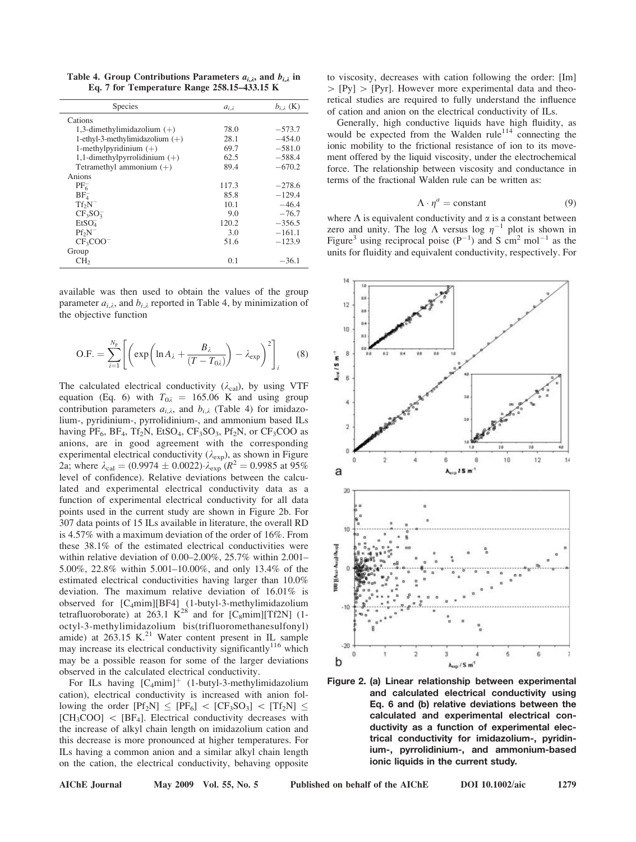Table 4. Group Contributions Parameters  $a_{i,\lambda}$ , and  $b_{i,\lambda}$  in Eq. 7 for Temperature Range 258.15–433.15 K

| Species                           | $a_{i,\lambda}$ | $b_{i}$ (K) |
|-----------------------------------|-----------------|-------------|
| Cations                           |                 |             |
| 1,3-dimethylimidazolium $(+)$     | 78.0            | $-573.7$    |
| 1-ethyl-3-methylimidazolium $(+)$ | 28.1            | $-454.0$    |
| 1-methylpyridinium $(+)$          | 69.7            | $-581.0$    |
| 1,1-dimethylpyrrolidinium $(+)$   | 62.5            | $-588.4$    |
| Tetramethyl ammonium $(+)$        | 89.4            | $-670.2$    |
| Anions                            |                 |             |
| $PF_6^-$                          | 117.3           | $-278.6$    |
| $BF_4^-$                          | 85.8            | $-129.4$    |
| $Tf_2N^-$                         | 10.1            | $-46.4$     |
| CF <sub>3</sub> SO <sub>3</sub>   | 9.0             | $-76.7$     |
| EtSO <sub>4</sub>                 | 120.2           | $-356.5$    |
| $Pf_2N^-$                         | 3.0             | $-161.1$    |
| $CF3COO-$                         | 51.6            | $-123.9$    |
| Group                             |                 |             |
| CH <sub>2</sub>                   | 0.1             | $-36.1$     |

available was then used to obtain the values of the group parameter  $a_{i,\lambda}$ , and  $b_{i,\lambda}$  reported in Table 4, by minimization of the objective function

$$
\text{O.F.} = \sum_{i=1}^{N_{\text{p}}} \left[ \left( \exp \left( \ln A_{\lambda} + \frac{B_{\lambda}}{(T - T_{0\lambda})} \right) - \lambda_{\text{exp}} \right)^{2} \right]_{i} \tag{8}
$$

The calculated electrical conductivity ( $\lambda_{\text{cal}}$ ), by using VTF equation (Eq. 6) with  $T_{0\lambda} = 165.06$  K and using group contribution parameters  $a_{i,\lambda}$ , and  $b_{i,\lambda}$  (Table 4) for imidazolium-, pyridinium-, pyrrolidinium-, and ammonium based ILs having  $PF_6$ ,  $BF_4$ ,  $Tf_2N$ ,  $EtSO_4$ ,  $CF_3SO_3$ ,  $Pf_2N$ , or  $CF_3COO$  as anions, are in good agreement with the corresponding experimental electrical conductivity ( $\lambda_{exp}$ ), as shown in Figure 2a; where  $\lambda_{\text{cal}} = (0.9974 \pm 0.0022) \cdot \lambda_{\text{exp}} (R^2 = 0.9985 \text{ at } 95\%$ level of confidence). Relative deviations between the calculated and experimental electrical conductivity data as a function of experimental electrical conductivity for all data points used in the current study are shown in Figure 2b. For 307 data points of 15 ILs available in literature, the overall RD is 4.57% with a maximum deviation of the order of 16%. From these 38.1% of the estimated electrical conductivities were within relative deviation of 0.00–2.00%, 25.7% within 2.001– 5.00%, 22.8% within 5.001–10.00%, and only 13.4% of the estimated electrical conductivities having larger than 10.0% deviation. The maximum relative deviation of 16.01% is observed for [C4mim][BF4] (1-butyl-3-methylimidazolium tetrafluoroborate) at 263.1  $K^{28}$  and for [C<sub>8</sub>mim][Tf2N] (1octyl-3-methylimidazolium bis(trifluoromethanesulfonyl) amide) at  $263.15$  K.<sup>21</sup> Water content present in IL sample may increase its electrical conductivity significantly<sup>116</sup> which may be a possible reason for some of the larger deviations observed in the calculated electrical conductivity.

For ILs having  $[C_4mim]^+$  (1-butyl-3-methylimidazolium cation), electrical conductivity is increased with anion following the order  $[PF_2N] \le [PF_6] < [CF_3SO_3] < [Tf_2N] \le$  $[CH<sub>3</sub>COO]$  <  $[BF<sub>4</sub>]$ . Electrical conductivity decreases with the increase of alkyl chain length on imidazolium cation and this decrease is more pronounced at higher temperatures. For ILs having a common anion and a similar alkyl chain length on the cation, the electrical conductivity, behaving opposite to viscosity, decreases with cation following the order: [Im]  $>[Py] > [Pyr]$ . However more experimental data and theoretical studies are required to fully understand the influence of cation and anion on the electrical conductivity of ILs.

Generally, high conductive liquids have high fluidity, as would be expected from the Walden rule<sup>114</sup> connecting the ionic mobility to the frictional resistance of ion to its movement offered by the liquid viscosity, under the electrochemical force. The relationship between viscosity and conductance in terms of the fractional Walden rule can be written as:

$$
\Lambda \cdot \eta^a = \text{constant} \tag{9}
$$

where  $\Lambda$  is equivalent conductivity and  $\alpha$  is a constant between zero and unity. The log  $\Lambda$  versus log  $\eta^{-1}$  plot is shown in Figure<sup>3</sup> using reciprocal poise  $(P^{-1})$  and S cm<sup>2</sup> mol<sup>-1</sup> as the units for fluidity and equivalent conductivity, respectively. For



Figure 2. (a) Linear relationship between experimental and calculated electrical conductivity using Eq. 6 and (b) relative deviations between the calculated and experimental electrical conductivity as a function of experimental electrical conductivity for imidazolium-, pyridinium-, pyrrolidinium-, and ammonium-based ionic liquids in the current study.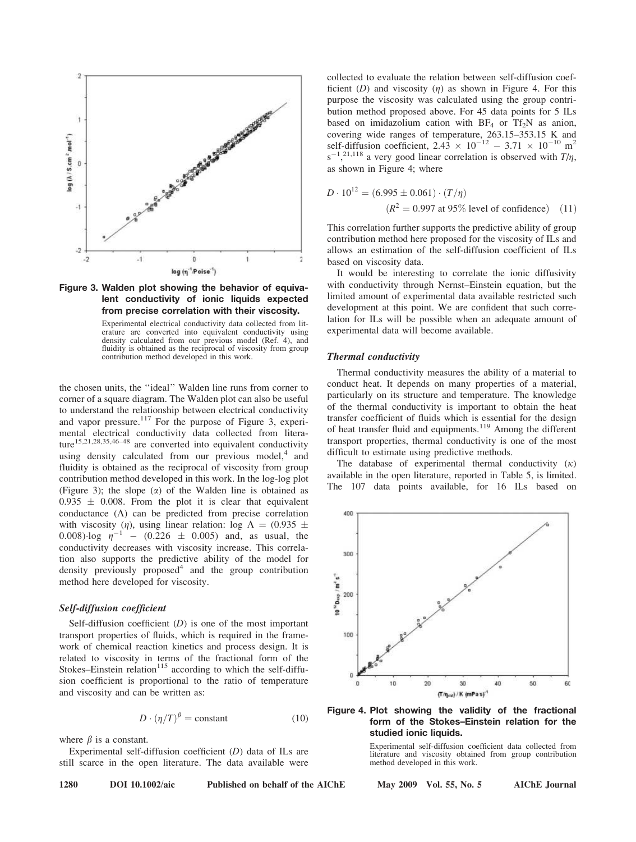

Figure 3. Walden plot showing the behavior of equivalent conductivity of ionic liquids expected from precise correlation with their viscosity.

Experimental electrical conductivity data collected from literature are converted into equivalent conductivity using density calculated from our previous model (Ref. 4), and fluidity is obtained as the reciprocal of viscosity from group contribution method developed in this work.

the chosen units, the ''ideal'' Walden line runs from corner to corner of a square diagram. The Walden plot can also be useful to understand the relationship between electrical conductivity and vapor pressure.<sup>117</sup> For the purpose of Figure 3, experimental electrical conductivity data collected from litera $ture^{15,21,28,35,46-48}$  are converted into equivalent conductivity using density calculated from our previous model,<sup>4</sup> and fluidity is obtained as the reciprocal of viscosity from group contribution method developed in this work. In the log-log plot (Figure 3); the slope  $(\alpha)$  of the Walden line is obtained as  $0.935 \pm 0.008$ . From the plot it is clear that equivalent conductance  $(\Lambda)$  can be predicted from precise correlation with viscosity ( $\eta$ ), using linear relation: log  $\Lambda = (0.935 \pm 1.00)$ 0.008)log  $\eta^{-1}$  - (0.226  $\pm$  0.005) and, as usual, the conductivity decreases with viscosity increase. This correlation also supports the predictive ability of the model for density previously proposed $4$  and the group contribution method here developed for viscosity.

## Self-diffusion coefficient

Self-diffusion coefficient  $(D)$  is one of the most important transport properties of fluids, which is required in the framework of chemical reaction kinetics and process design. It is related to viscosity in terms of the fractional form of the Stokes–Einstein relation $115$  according to which the self-diffusion coefficient is proportional to the ratio of temperature and viscosity and can be written as:

$$
D \cdot (\eta/T)^{\beta} = \text{constant} \tag{10}
$$

where  $\beta$  is a constant.

Experimental self-diffusion coefficient  $(D)$  data of ILs are still scarce in the open literature. The data available were

collected to evaluate the relation between self-diffusion coefficient (D) and viscosity  $(\eta)$  as shown in Figure 4. For this purpose the viscosity was calculated using the group contribution method proposed above. For 45 data points for 5 ILs based on imidazolium cation with  $BF_4$  or  $Tf_2N$  as anion, covering wide ranges of temperature, 263.15–353.15 K and self-diffusion coefficient,  $2.43 \times 10^{-12} - 3.71 \times 10^{-10}$  m<sup>2</sup>  $s^{-1}$ ,<sup>21,118</sup> a very good linear correlation is observed with  $T/\eta$ , as shown in Figure 4; where

$$
D \cdot 10^{12} = (6.995 \pm 0.061) \cdot (T/\eta)
$$
  

$$
(R^2 = 0.997 \text{ at } 95\% \text{ level of confidence}) \quad (11)
$$

This correlation further supports the predictive ability of group contribution method here proposed for the viscosity of ILs and allows an estimation of the self-diffusion coefficient of ILs based on viscosity data.

It would be interesting to correlate the ionic diffusivity with conductivity through Nernst–Einstein equation, but the limited amount of experimental data available restricted such development at this point. We are confident that such correlation for ILs will be possible when an adequate amount of experimental data will become available.

#### Thermal conductivity

Thermal conductivity measures the ability of a material to conduct heat. It depends on many properties of a material, particularly on its structure and temperature. The knowledge of the thermal conductivity is important to obtain the heat transfer coefficient of fluids which is essential for the design of heat transfer fluid and equipments.<sup>119</sup> Among the different transport properties, thermal conductivity is one of the most difficult to estimate using predictive methods.

The database of experimental thermal conductivity  $(k)$ available in the open literature, reported in Table 5, is limited. The 107 data points available, for 16 ILs based on





Experimental self-diffusion coefficient data collected from literature and viscosity obtained from group contribution method developed in this work.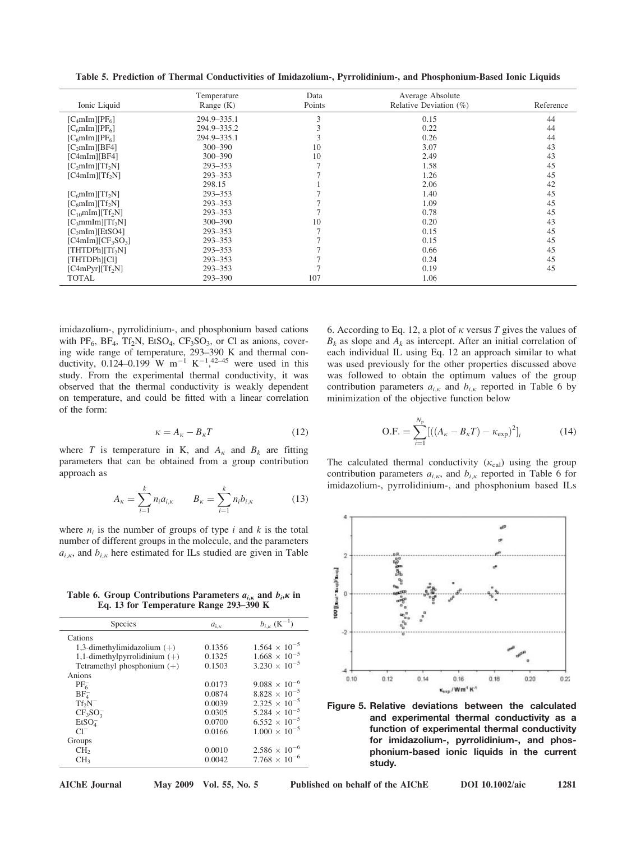Table 5. Prediction of Thermal Conductivities of Imidazolium-, Pyrrolidinium-, and Phosphonium-Based Ionic Liquids

| Ionic Liquid                                                   | Temperature<br>Range $(K)$ | Data<br>Points | Average Absolute<br>Relative Deviation $(\%)$ | Reference |
|----------------------------------------------------------------|----------------------------|----------------|-----------------------------------------------|-----------|
| $[C_4mIm][PF_6]$                                               | 294.9-335.1                | 3              | 0.15                                          | 44        |
| [C <sub>6</sub> mlm][PF <sub>6</sub> ]                         | 294.9-335.2                |                | 0.22                                          | 44        |
| [C <sub>8</sub> mlm][PF <sub>6</sub> ]                         | 294.9-335.1                |                | 0.26                                          | 44        |
| [C <sub>2</sub> mlm][BF4]                                      | $300 - 390$                | 10             | 3.07                                          | 43        |
| [C4mIm][BF4]                                                   | $300 - 390$                | 10             | 2.49                                          | 43        |
| $[C_2mIm][Tf_2N]$                                              | $293 - 353$                |                | 1.58                                          | 45        |
| $\text{[C4mIm][Tf}_2\text{N]}$                                 | $293 - 353$                |                | 1.26                                          | 45        |
|                                                                | 298.15                     |                | 2.06                                          | 42        |
| [C <sub>6</sub> mlm][Tf <sub>2</sub> N]                        | $293 - 353$                |                | 1.40                                          | 45        |
| [C <sub>8</sub> mlm][Tf <sub>2</sub> N]                        | $293 - 353$                |                | 1.09                                          | 45        |
| $[C_{10}mIm][Tf_2N]$                                           | $293 - 353$                |                | 0.78                                          | 45        |
| [C <sub>3</sub> mmIm][Tf <sub>2</sub> N]                       | $300 - 390$                | 10             | 0.20                                          | 43        |
| [C <sub>2</sub> mlm][EtSO4]                                    | $293 - 353$                |                | 0.15                                          | 45        |
| $[C4mIm][CF_3SO_3]$                                            | $293 - 353$                |                | 0.15                                          | 45        |
| $[THTDPh][Tf_2N]$                                              | $293 - 353$                |                | 0.66                                          | 45        |
| [THTDPh][Cl]                                                   | $293 - 353$                |                | 0.24                                          | 45        |
| $\left[$ C4mPyr $\right]$ $\left[$ Tf <sub>2</sub> N $\right]$ | $293 - 353$                |                | 0.19                                          | 45        |
| TOTAL                                                          | 293-390                    | 107            | 1.06                                          |           |

imidazolium-, pyrrolidinium-, and phosphonium based cations with  $PF_6$ ,  $BF_4$ ,  $Tf_2N$ ,  $EtSO_4$ ,  $CF_3SO_3$ , or Cl as anions, covering wide range of temperature, 293–390 K and thermal conductivity, 0.124–0.199 W m<sup>-1</sup> K<sup>-1</sup>,<sup>42–45</sup> were used in this study. From the experimental thermal conductivity, it was observed that the thermal conductivity is weakly dependent on temperature, and could be fitted with a linear correlation of the form:

$$
\kappa = A_{\kappa} - B_{\kappa} T \tag{12}
$$

where T is temperature in K, and  $A_k$  and  $B_k$  are fitting parameters that can be obtained from a group contribution approach as

$$
A_{\kappa} = \sum_{i=1}^{k} n_i a_{i,\kappa} \qquad B_{\kappa} = \sum_{i=1}^{k} n_i b_{i,\kappa} \tag{13}
$$

where  $n_i$  is the number of groups of type i and k is the total number of different groups in the molecule, and the parameters  $a_{i,k}$ , and  $b_{i,k}$  here estimated for ILs studied are given in Table

Table 6. Group Contributions Parameters  $a_{i,k}$  and  $b_i$ , $\kappa$  in Eq. 13 for Temperature Range 293–390 K

| Species                         | $a_{i,\kappa}$ | $b_{i,\kappa}$ (K <sup>-1</sup> ) |
|---------------------------------|----------------|-----------------------------------|
| Cations                         |                |                                   |
| 1,3-dimethylimidazolium $(+)$   | 0.1356         | $1.564 \times 10^{-5}$            |
| 1,1-dimethylpyrrolidinium $(+)$ | 0.1325         | $1.668 \times 10^{-5}$            |
| Tetramethyl phosphonium $(+)$   | 0.1503         | $3.230 \times 10^{-5}$            |
| Anions                          |                |                                   |
| $PF_6^-$                        | 0.0173         | $9.088 \times 10^{-6}$            |
| $BF_{4}^{-}$                    | 0.0874         | $8.828 \times 10^{-5}$            |
| $Tf_2N^-$                       | 0.0039         | $2.325 \times 10^{-5}$            |
| $CF_3SO_3^-$                    | 0.0305         | $5.284 \times 10^{-5}$            |
| EtSO <sub>4</sub>               | 0.0700         | $6.552 \times 10^{-5}$            |
| $Cl^{-}$                        | 0.0166         | $1.000 \times 10^{-5}$            |
| Groups                          |                |                                   |
| CH <sub>2</sub>                 | 0.0010         | $2.586 \times 10^{-6}$            |
| CH <sub>3</sub>                 | 0.0042         | $7.768 \times 10^{-6}$            |

6. According to Eq. 12, a plot of  $\kappa$  versus T gives the values of  $B_k$  as slope and  $A_k$  as intercept. After an initial correlation of each individual IL using Eq. 12 an approach similar to what was used previously for the other properties discussed above was followed to obtain the optimum values of the group contribution parameters  $a_{i,k}$  and  $b_{i,k}$  reported in Table 6 by minimization of the objective function below

$$
O.F. = \sum_{i=1}^{N_p} [((A_{\kappa} - B_{\kappa}T) - \kappa_{exp})^2]_i
$$
 (14)

The calculated thermal conductivity  $(\kappa_{\text{cal}})$  using the group contribution parameters  $a_{i,k}$ , and  $b_{i,k}$  reported in Table 6 for imidazolium-, pyrrolidinium-, and phosphonium based ILs



Figure 5. Relative deviations between the calculated and experimental thermal conductivity as a function of experimental thermal conductivity for imidazolium-, pyrrolidinium-, and phosphonium-based ionic liquids in the current study.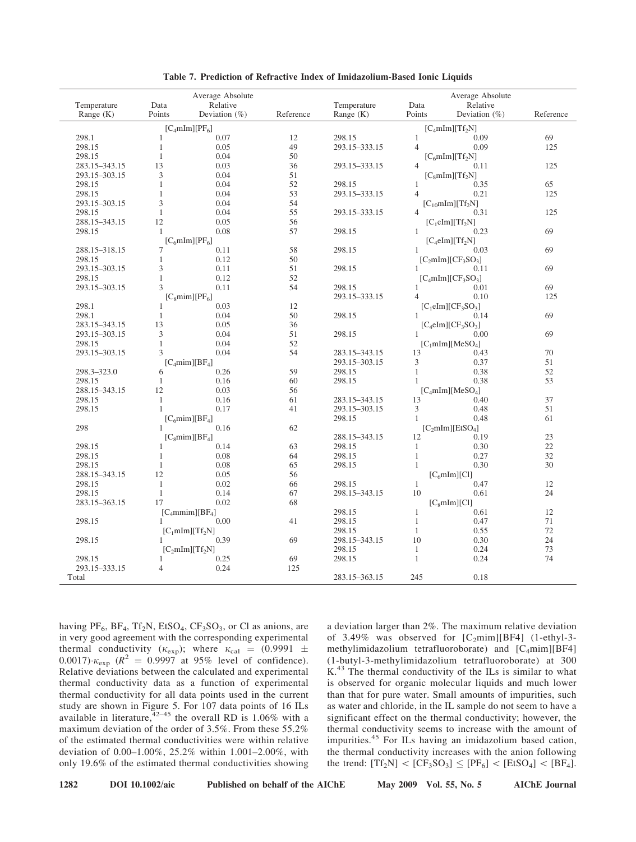| Temperature   | Data         | Average Absolute<br>Relative           |           | Temperature      | Data                         | Average Absolute<br>Relative                  |           |
|---------------|--------------|----------------------------------------|-----------|------------------|------------------------------|-----------------------------------------------|-----------|
| Range $(K)$   | Points       | Deviation $(\%)$                       | Reference | Range $(K)$      | Points                       | Deviation $(\%)$                              | Reference |
|               |              | $[C_4mIm][PF_6]$                       |           |                  |                              | $[C_4mIm][Tf_2N]$                             |           |
| 298.1         | 1            | 0.07                                   | 12        | 298.15           | $\mathbf{1}$                 | 0.09                                          | 69        |
| 298.15        | $\mathbf{1}$ | 0.05                                   | 49        | 293.15-333.15    | $\overline{4}$               | 0.09                                          | 125       |
| 298.15        | 1            | 0.04                                   | 50        |                  |                              | [C <sub>6</sub> mlm][Tf <sub>2</sub> N]       |           |
| 283.15-343.15 | 13           | 0.03                                   | 36        | 293.15-333.15    | $\overline{4}$               | 0.11                                          | 125       |
| 293.15-303.15 | 3            | 0.04                                   | 51        |                  |                              | $[C_8mIm][Tf_2N]$                             |           |
| 298.15        | 1            | 0.04                                   | 52        | 298.15           | 1                            | 0.35                                          | 65        |
| 298.15        | 1            | 0.04                                   | 53        | 293.15-333.15    | 4                            | 0.21                                          | 125       |
| 293.15-303.15 | 3            | 0.04                                   | 54        |                  |                              | $[C_{10}mIm][Tf_2N]$                          |           |
| 298.15        | 1            | 0.04                                   | 55        | 293.15-333.15    | $\overline{4}$               | 0.31                                          | 125       |
| 288.15-343.15 | 12           | 0.05                                   | 56        |                  |                              | $[C_1$ eIm][Tf <sub>2</sub> N]                |           |
| 298.15        | 1            | 0.08                                   | 57        | 298.15           | 1                            | 0.23                                          | 69        |
|               |              | [C <sub>6</sub> mlm][PF <sub>6</sub> ] |           |                  |                              | $[C_4$ eIm][Tf <sub>2</sub> N]                |           |
| 288.15-318.15 | 7            | 0.11                                   | 58        | 298.15           | 1                            | 0.03                                          | 69        |
| 298.15        | $\mathbf{1}$ | 0.12                                   | 50        |                  |                              | $[C2mlm][CF3SO3]$                             |           |
| 293.15-303.15 | 3            | 0.11                                   | 51        | 298.15           | 1                            | 0.11                                          | 69        |
| 298.15        | $\mathbf{1}$ | 0.12                                   | 52        |                  |                              | $[C_4mIm][CF_3SO_3]$                          |           |
| 293.15-303.15 | 3            | 0.11                                   | 54        | 298.15           | 1                            | 0.01                                          | 69        |
|               |              | [C <sub>8</sub> min][PF <sub>6</sub> ] |           | 293.15-333.15    | 4                            | 0.10                                          | 125       |
| 298.1         | 1            | 0.03                                   | 12        |                  |                              | $[C_1$ eIm][CF <sub>3</sub> SO <sub>3</sub> ] |           |
| 298.1         | $\mathbf{1}$ | 0.04                                   | 50        | 298.15           | 1                            | 0.14                                          | 69        |
| 283.15-343.15 | 13           | 0.05                                   | 36        |                  |                              | $[C_4$ eIm][ $CF_3SO_3$ ]                     |           |
| 293.15-303.15 | 3            | 0.04                                   | 51        | 298.15           | 1                            | 0.00                                          | 69        |
| 298.15        | 1            | 0.04                                   | 52        |                  |                              | $[C_1mIm][MeSO_4]$                            |           |
| 293.15-303.15 | 3            | 0.04                                   | 54        | 283.15-343.15    | 13                           | 0.43                                          | 70        |
|               |              | $[C_4min][BF_4]$                       |           | 293.15-303.15    | 3                            | 0.37                                          | 51        |
| 298.3-323.0   | 6            | 0.26                                   | 59        | 298.15           | $\mathbf{1}$                 | 0.38                                          | 52        |
| 298.15        | $\mathbf{1}$ | 0.16                                   | 60        | 298.15           | $\mathbf{1}$                 | 0.38                                          | 53        |
| 288.15-343.15 | 12           | 0.03                                   | 56        |                  |                              | $[C_4mIm][MeSO_4]$                            |           |
| 298.15        | $\mathbf{1}$ | 0.16                                   | 61        | 283.15-343.15    | 13                           | 0.40                                          | 37        |
| 298.15        | 1            | 0.17                                   | 41        | 293.15-303.15    | 3                            | 0.48                                          | 51        |
|               |              | [C <sub>6</sub> min][BF <sub>4</sub> ] |           | 298.15           | $\mathbf{1}$                 | 0.48                                          | 61        |
| 298           | 1            | 0.16                                   | 62        |                  |                              | [C <sub>2</sub> mlm][EtSO <sub>4</sub> ]      |           |
|               |              | [C <sub>8</sub> min][BF <sub>4</sub> ] |           | 288.15-343.15    | 12                           | 0.19                                          | 23        |
| 298.15        | 1            | 0.14                                   | 63        | 298.15           | $\mathbf{1}$                 | 0.30                                          | 22        |
| 298.15        | 1            | 0.08                                   | 64        | 298.15           | $\mathbf{1}$                 | 0.27                                          | 32        |
| 298.15        | 1            | 0.08                                   | 65        | 298.15           | $\mathbf{1}$                 | 0.30                                          | 30        |
| 288.15-343.15 | 12           | 0.05                                   | 56        |                  |                              | [C <sub>6</sub> mlm][Cl]                      |           |
| 298.15        | 1            | 0.02                                   | 66        | 298.15           | $\mathbf{1}$                 | 0.47                                          | 12        |
| 298.15        | $\mathbf{1}$ | 0.14                                   | 67        | 298.15-343.15    | 10                           | 0.61                                          | 24        |
| 283.15-363.15 | 17           | 0.02                                   | 68        |                  |                              | [C <sub>8</sub> mlm][Cl]                      |           |
|               |              | $[C_4$ mmim][BF <sub>4</sub> ]         |           | 298.15           | $\mathbf{1}$                 | 0.61                                          | 12<br>71  |
| 298.15        | 1            | 0.00                                   | 41        | 298.15<br>298.15 | $\mathbf{1}$<br>$\mathbf{1}$ | 0.47<br>0.55                                  | 72        |
| 298.15        | 1            | $[C_1mIm][Tf_2N]$<br>0.39              | 69        | 298.15-343.15    | 10                           | 0.30                                          | 24        |
|               |              | $[C_2mIm][Tf_2N]$                      |           | 298.15           | $\mathbf{1}$                 | 0.24                                          | 73        |
| 298.15        | 1            | 0.25                                   | 69        | 298.15           | $\mathbf{1}$                 | 0.24                                          | 74        |
| 293.15-333.15 | 4            | 0.24                                   | 125       |                  |                              |                                               |           |
| Total         |              |                                        |           | 283.15-363.15    | 245                          | 0.18                                          |           |
|               |              |                                        |           |                  |                              |                                               |           |

Table 7. Prediction of Refractive Index of Imidazolium-Based Ionic Liquids

having  $PF_6$ ,  $BF_4$ ,  $Tf_2N$ ,  $EtSO_4$ ,  $CF_3SO_3$ , or Cl as anions, are in very good agreement with the corresponding experimental thermal conductivity ( $\kappa_{\exp}$ ); where  $\kappa_{\text{cal}} = (0.9991 \pm$  $(0.0017) \cdot \kappa_{\text{exp}}$  ( $R^2 = 0.9997$  at 95% level of confidence). Relative deviations between the calculated and experimental thermal conductivity data as a function of experimental thermal conductivity for all data points used in the current study are shown in Figure 5. For 107 data points of 16 ILs available in literature,  $42-45$  the overall RD is 1.06% with a maximum deviation of the order of 3.5%. From these 55.2% of the estimated thermal conductivities were within relative deviation of 0.00–1.00%, 25.2% within 1.001–2.00%, with only 19.6% of the estimated thermal conductivities showing a deviation larger than 2%. The maximum relative deviation of 3.49% was observed for  $[C_2mim][BF4]$  (1-ethyl-3methylimidazolium tetrafluoroborate) and  $[C_4$ mim][BF4] (1-butyl-3-methylimidazolium tetrafluoroborate) at 300 K.<sup>43</sup> The thermal conductivity of the ILs is similar to what is observed for organic molecular liquids and much lower than that for pure water. Small amounts of impurities, such as water and chloride, in the IL sample do not seem to have a significant effect on the thermal conductivity; however, the thermal conductivity seems to increase with the amount of impurities.<sup>45</sup> For ILs having an imidazolium based cation, the thermal conductivity increases with the anion following the trend:  $[Tf_2N] < [CF_3SO_3] \le [PF_6] < [EtSO_4] < [BF_4]$ .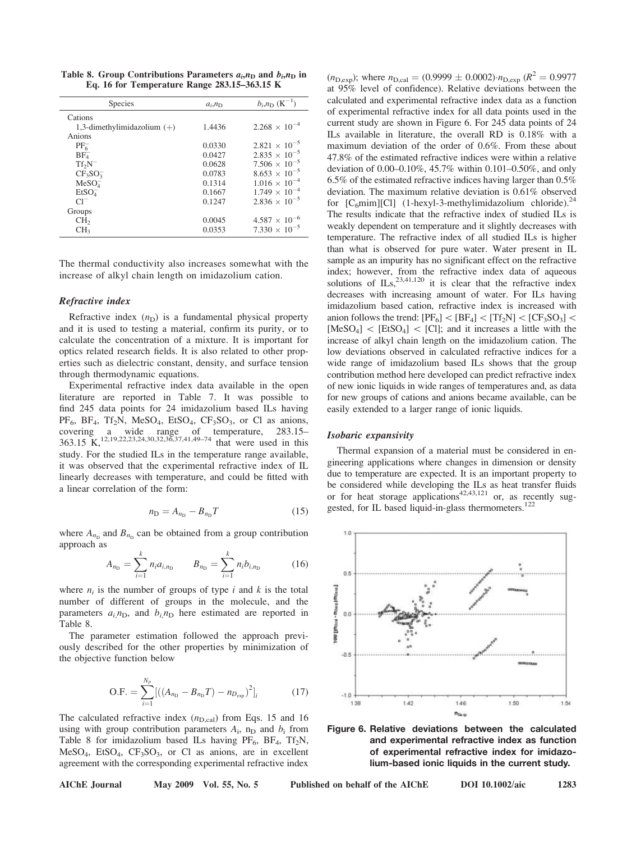Table 8. Group Contributions Parameters  $a_i$ , $n_D$  and  $b_i$ , $n_D$  in Eq. 16 for Temperature Range 283.15–363.15 K

| <b>Species</b>                | $a_i, n_D$ | $b_i, n_{\rm D}$ (K <sup>-1</sup> ) |
|-------------------------------|------------|-------------------------------------|
| Cations                       |            |                                     |
| 1,3-dimethylimidazolium $(+)$ | 1.4436     | $2.268 \times 10^{-4}$              |
| Anions                        |            |                                     |
| $PF_6^-$                      | 0.0330     | $2.821 \times 10^{-5}$              |
| $BF_4^-$                      | 0.0427     | $2.835 \times 10^{-5}$              |
| $Tf_2N^-$                     | 0.0628     | $7.506 \times 10^{-5}$              |
| $CF_3SO_3^-$                  | 0.0783     | $8.653 \times 10^{-5}$              |
| MeSO <sub>4</sub>             | 0.1314     | $1.016 \times 10^{-4}$              |
| EtSO <sub>4</sub>             | 0.1667     | $1.749 \times 10^{-4}$              |
| $Cl^{-}$                      | 0.1247     | $2.836 \times 10^{-5}$              |
| Groups                        |            |                                     |
| CH <sub>2</sub>               | 0.0045     | $4.587 \times 10^{-6}$              |
| CH <sub>3</sub>               | 0.0353     | $7.330 \times 10^{-5}$              |

The thermal conductivity also increases somewhat with the increase of alkyl chain length on imidazolium cation.

### Refractive index

Refractive index  $(n_D)$  is a fundamental physical property and it is used to testing a material, confirm its purity, or to calculate the concentration of a mixture. It is important for optics related research fields. It is also related to other properties such as dielectric constant, density, and surface tension through thermodynamic equations.

Experimental refractive index data available in the open literature are reported in Table 7. It was possible to find 245 data points for 24 imidazolium based ILs having  $PF_6$ ,  $BF_4$ ,  $Tf_2N$ ,  $MeSO_4$ ,  $EtSO_4$ ,  $CF_3SO_3$ , or Cl as anions, covering a wide range of temperature, 283.15–  $363.15$  K,<sup>12,19,22,23,24,30,32,36,37,41,49–74</sup> that were used in this study. For the studied ILs in the temperature range available, it was observed that the experimental refractive index of IL linearly decreases with temperature, and could be fitted with a linear correlation of the form:

$$
n_{\rm D} = A_{n_{\rm D}} - B_{n_{\rm D}} T \tag{15}
$$

where  $A_{n_D}$  and  $B_{n_D}$  can be obtained from a group contribution approach as

$$
A_{n_{\rm D}} = \sum_{i=1}^{k} n_i a_{i,n_{\rm D}} \qquad B_{n_{\rm D}} = \sum_{i=1}^{k} n_i b_{i,n_{\rm D}} \tag{16}
$$

where  $n_i$  is the number of groups of type i and k is the total number of different of groups in the molecule, and the parameters  $a_i$ <sub>n</sub><sub>D</sub>, and  $b_i$ <sub>n</sub><sub>D</sub> here estimated are reported in Table 8.

The parameter estimation followed the approach previously described for the other properties by minimization of the objective function below

$$
\text{O.F.} = \sum_{i=1}^{N_p} [((A_{n_{\text{D}}} - B_{n_{\text{D}}}T) - n_{D_{\text{exp}}})^2]_i \tag{17}
$$

The calculated refractive index  $(n_{D,cal})$  from Eqs. 15 and 16 using with group contribution parameters  $A_i$ ,  $n_D$  and  $b_i$  from Table 8 for imidazolium based ILs having  $PF_6$ ,  $BF_4$ ,  $Tf_2N$ , MeSO<sub>4</sub>, EtSO<sub>4</sub>, CF<sub>3</sub>SO<sub>3</sub>, or Cl as anions, are in excellent agreement with the corresponding experimental refractive index

 $(n_{D,exp})$ ; where  $n_{D,cal} = (0.9999 \pm 0.0002) \cdot n_{D,exp} (R^2 = 0.9977)$ at 95% level of confidence). Relative deviations between the calculated and experimental refractive index data as a function of experimental refractive index for all data points used in the current study are shown in Figure 6. For 245 data points of 24 ILs available in literature, the overall RD is 0.18% with a maximum deviation of the order of 0.6%. From these about 47.8% of the estimated refractive indices were within a relative deviation of 0.00–0.10%, 45.7% within 0.101–0.50%, and only 6.5% of the estimated refractive indices having larger than 0.5% deviation. The maximum relative deviation is 0.61% observed for  $[C_6 \text{min}][C]$  (1-hexyl-3-methylimidazolium chloride).<sup>24</sup> The results indicate that the refractive index of studied ILs is weakly dependent on temperature and it slightly decreases with temperature. The refractive index of all studied ILs is higher than what is observed for pure water. Water present in IL sample as an impurity has no significant effect on the refractive index; however, from the refractive index data of aqueous solutions of  $\text{ILs},^{23,41,120}$  it is clear that the refractive index decreases with increasing amount of water. For ILs having imidazolium based cation, refractive index is increased with anion follows the trend:  $[PF_6] < [BF_4] < [TF_2N] < [CF_3SO_3]$  $[MeSO<sub>4</sub>] < [EtSO<sub>4</sub>] < [CI]$ ; and it increases a little with the increase of alkyl chain length on the imidazolium cation. The low deviations observed in calculated refractive indices for a wide range of imidazolium based ILs shows that the group contribution method here developed can predict refractive index of new ionic liquids in wide ranges of temperatures and, as data for new groups of cations and anions became available, can be easily extended to a larger range of ionic liquids.

# Isobaric expansivity

Thermal expansion of a material must be considered in engineering applications where changes in dimension or density due to temperature are expected. It is an important property to be considered while developing the ILs as heat transfer fluids or for heat storage applications<sup>42,43,121</sup> or, as recently suggested, for IL based liquid-in-glass thermometers.<sup>122</sup>



Figure 6. Relative deviations between the calculated and experimental refractive index as function of experimental refractive index for imidazolium-based ionic liquids in the current study.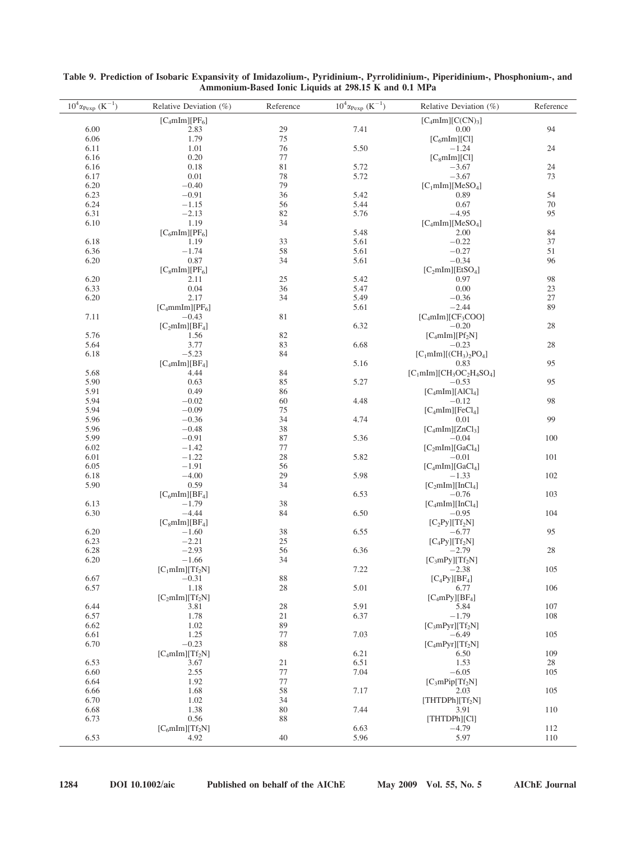| $10^4 \alpha_{\text{Pexp}} (K^{-1})$ | Relative Deviation (%)                 | Reference | $10^4 \alpha_{Pexp} (K^{-1})$ | Relative Deviation (%)                                                          | Reference |
|--------------------------------------|----------------------------------------|-----------|-------------------------------|---------------------------------------------------------------------------------|-----------|
|                                      | $[C_4mIm][PF_6]$                       |           |                               | $[C_4mIm][C(CN)_3]$                                                             |           |
| 6.00                                 | 2.83                                   | 29        | 7.41                          | 0.00                                                                            | 94        |
| 6.06                                 | 1.79                                   | 75        |                               | [C <sub>6</sub> mlm][Cl]                                                        |           |
| 6.11                                 | 1.01                                   | 76        | 5.50                          | $-1.24$                                                                         | 24        |
| 6.16                                 | 0.20                                   | 77        |                               | [C <sub>s</sub> mlm][Cl]                                                        |           |
| 6.16                                 | 0.18                                   | 81        | 5.72                          | $-3.67$                                                                         | 24        |
| 6.17                                 | $0.01\,$                               | $78\,$    | 5.72                          | $-3.67$                                                                         | 73        |
| 6.20                                 | $-0.40$                                | 79        |                               | $[C_1mIm][MeSO_4]$                                                              |           |
| 6.23                                 | $-0.91$                                | 36        | 5.42                          | 0.89                                                                            | 54        |
| 6.24                                 | $-1.15$                                | 56        | 5.44                          | 0.67                                                                            | 70        |
| 6.31                                 | $-2.13$                                | 82        | 5.76                          | $-4.95$                                                                         | 95        |
| 6.10                                 | 1.19                                   | 34        |                               | $[C_4mIm][MeSO_4]$                                                              |           |
|                                      | [C <sub>6</sub> mlm][PF <sub>6</sub> ] |           | 5.48                          | 2.00                                                                            | 84        |
| 6.18                                 | 1.19                                   | 33        | 5.61                          | $-0.22$                                                                         | 37        |
| 6.36                                 | $-1.74$                                | 58        | 5.61                          | $-0.27$                                                                         | 51        |
| 6.20                                 | 0.87                                   | 34        | 5.61                          | $-0.34$                                                                         | 96        |
|                                      | [C <sub>8</sub> mlm][PF <sub>6</sub> ] |           |                               | [C <sub>2</sub> mlm][EtSO <sub>4</sub> ]                                        |           |
| 6.20                                 | 2.11                                   | $25\,$    | 5.42                          | 0.97                                                                            | 98        |
| 6.33                                 | 0.04                                   | 36        | 5.47                          | $0.00\,$                                                                        | $23\,$    |
| 6.20                                 | 2.17                                   | 34        | 5.49                          | $-0.36$                                                                         | $27\,$    |
|                                      | $[C_4mmIm][PF_6]$                      |           | 5.61                          | $-2.44$                                                                         | 89        |
| 7.11                                 | $-0.43$                                | 81        |                               | $[C_4mIm][CF_3COO]$                                                             |           |
|                                      | [C <sub>2</sub> mlm][BF <sub>4</sub> ] |           | 6.32                          | $-0.20$                                                                         | 28        |
| 5.76                                 | 1.56                                   | 82        |                               | $[C_4mIm][Pf_2N]$                                                               |           |
| 5.64                                 | 3.77                                   | 83        | 6.68                          | $-0.23$                                                                         | $28\,$    |
| 6.18                                 | $-5.23$                                | 84        |                               | $[C_1mIm][(CH_3)_2PO_4]$                                                        |           |
|                                      | $[C_4mIm][BF_4]$                       |           | 5.16                          | 0.83                                                                            | 95        |
| 5.68                                 | 4.44                                   | 84        |                               | $[C_1mIm][CH_3OC_2H_4SO_4]$                                                     | 95        |
| 5.90<br>5.91                         | 0.63<br>0.49                           | 85<br>86  | 5.27                          | $-0.53$                                                                         |           |
| 5.94                                 | $-0.02$                                | 60        | 4.48                          | $[C_4mIm][AlCl_4]$<br>$-0.12$                                                   | 98        |
| 5.94                                 | $-0.09$                                | 75        |                               | $[C_4mIm][FeCl_4]$                                                              |           |
| 5.96                                 | $-0.36$                                | 34        | 4.74                          | 0.01                                                                            | 99        |
| 5.96                                 | $-0.48$                                | 38        |                               | $[C_4mIm][ZnCl_3]$                                                              |           |
| 5.99                                 | $-0.91$                                | 87        | 5.36                          | $-0.04$                                                                         | 100       |
| 6.02                                 | $-1.42$                                | 77        |                               | [C <sub>2</sub> mlm][GaCl <sub>4</sub> ]                                        |           |
| 6.01                                 | $-1.22$                                | $28\,$    | 5.82                          | $-0.01$                                                                         | 101       |
| 6.05                                 | $-1.91$                                | 56        |                               | $[C_4mIm][GaCl_4]$                                                              |           |
| 6.18                                 | $-4.00$                                | 29        | 5.98                          | $-1.33$                                                                         | 102       |
| 5.90                                 | 0.59                                   | 34        |                               | [C <sub>2</sub> mlm][InCl <sub>4</sub> ]                                        |           |
|                                      | [C <sub>6</sub> mlm][BF <sub>4</sub> ] |           | 6.53                          | $-0.76$                                                                         | 103       |
| 6.13                                 | $-1.79$                                | 38        |                               | $[C_4mIm][InCl_4]$                                                              |           |
| 6.30                                 | $-4.44$                                | 84        | 6.50                          | $-0.95$                                                                         | 104       |
|                                      | [C <sub>8</sub> mlm][BF <sub>4</sub> ] |           |                               | $[C_2Pv]$ $[Tf_2N]$                                                             |           |
| 6.20                                 | $-1.60$                                | 38        | 6.55                          | $-6.77$                                                                         | 95        |
| 6.23                                 | $-2.21$                                | 25        |                               | $[C_4Py][Tf_2N]$                                                                |           |
| 6.28                                 | $-2.93$                                | 56        | 6.36                          | $-2.79$                                                                         | 28        |
| 6.20                                 | $-1.66$                                | 34        |                               | $\left[{\rm C}_3{\rm m} {\rm Py}\right] \left[{\rm T} {\rm f}_2 {\rm N}\right]$ |           |
|                                      | $[C_1mIm][Tf_2N]$                      |           | 7.22                          | $-2.38$                                                                         | 105       |
| 6.67                                 | $-0.31$                                | $88\,$    |                               | $[C_4Py][BF_4]$                                                                 |           |
| 6.57                                 | 1.18                                   | $28\,$    | 5.01                          | 6.77                                                                            | 106       |
|                                      | $[C_2mIm][Tf_2N]$                      |           |                               | $[C_4mPy][BF_4]$                                                                |           |
| 6.44                                 | 3.81                                   | 28        | 5.91                          | 5.84                                                                            | 107       |
| 6.57                                 | 1.78                                   | 21        | 6.37                          | $-1.79$                                                                         | 108       |
| 6.62                                 | 1.02                                   | 89        |                               | [C <sub>3</sub> mPyr][Tf <sub>2</sub> N]                                        |           |
| 6.61                                 | 1.25                                   | 77        | 7.03                          | $-6.49$                                                                         | 105       |
| 6.70                                 | $-0.23$                                | 88        |                               | $[C_4mPyr][Tf_2N]$                                                              |           |
|                                      | $[C_4mIm][Tf_2N]$                      |           | 6.21                          | 6.50                                                                            | 109       |
| 6.53                                 | 3.67                                   | 21        | 6.51                          | 1.53                                                                            | 28        |
| 6.60                                 | 2.55                                   | 77        | 7.04                          | $-6.05$                                                                         | 105       |
| 6.64                                 | 1.92                                   | 77        |                               | [C <sub>3</sub> mPip[Tf <sub>2</sub> N]                                         |           |
| 6.66                                 | 1.68                                   | 58        | 7.17                          | 2.03                                                                            | 105       |
| 6.70                                 | 1.02                                   | 34        |                               | $[THTDPh][Tf_2N]$                                                               |           |
| 6.68                                 | 1.38                                   | 80        | 7.44                          | 3.91                                                                            | 110       |
| 6.73                                 | 0.56                                   | 88        |                               | [THTDPh][Cl]                                                                    |           |
|                                      | $[C_6$ mIm][Tf <sub>2</sub> N]         |           | 6.63                          | $-4.79$                                                                         | 112       |
| 6.53                                 | 4.92                                   | $40\,$    | 5.96                          | 5.97                                                                            | 110       |

Table 9. Prediction of Isobaric Expansivity of Imidazolium-, Pyridinium-, Pyrrolidinium-, Piperidinium-, Phosphonium-, and Ammonium-Based Ionic Liquids at 298.15 K and 0.1 MPa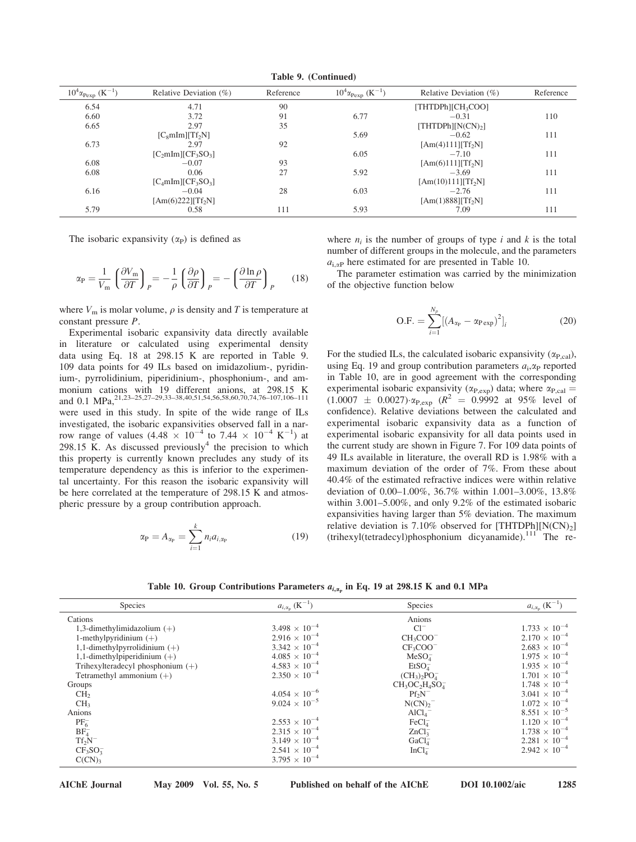Table 9. (Continued)

| $10^4 \alpha_{\text{Pexp}} (K^{-1})$ | Relative Deviation $(\%)$               | Reference | $10^4 \alpha_{\text{Pexp}} (K^{-1})$ | Relative Deviation $(\%)$     | Reference |
|--------------------------------------|-----------------------------------------|-----------|--------------------------------------|-------------------------------|-----------|
| 6.54                                 | 4.71                                    | 90        |                                      | $[THTDPh][CH_3COO]$           |           |
| 6.60                                 | 3.72                                    | 91        | 6.77                                 | $-0.31$                       | 110       |
| 6.65                                 | 2.97                                    | 35        |                                      | [THTDPh][N(CN) <sub>2</sub> ] |           |
|                                      | [C <sub>8</sub> mIm][Tf <sub>2</sub> N] |           | 5.69                                 | $-0.62$                       | 111       |
| 6.73                                 | 2.97                                    | 92        |                                      | $[Am(4)111][Tf_2N]$           |           |
|                                      | $[C2mlm][CF3SO3]$                       |           | 6.05                                 | $-7.10$                       | 111       |
| 6.08                                 | $-0.07$                                 | 93        |                                      | $[Am(6)111][Tf_2N]$           |           |
| 6.08                                 | 0.06                                    | 27        | 5.92                                 | $-3.69$                       | 111       |
|                                      | $[C_4mIm][CF_3SO_3]$                    |           |                                      | $[Am(10)111][Tf_2N]$          |           |
| 6.16                                 | $-0.04$                                 | 28        | 6.03                                 | $-2.76$                       | 111       |
|                                      | $[Am(6)222][Tf_2N]$                     |           |                                      | $[Am(1)888][Tf_2N]$           |           |
| 5.79                                 | 0.58                                    | 111       | 5.93                                 | 7.09                          | 111       |

The isobaric expansivity  $(\alpha_P)$  is defined as

$$
\alpha_{\rm P} = \frac{1}{V_{\rm m}} \left( \frac{\partial V_{\rm m}}{\partial T} \right)_{P} = -\frac{1}{\rho} \left( \frac{\partial \rho}{\partial T} \right)_{P} = -\left( \frac{\partial \ln \rho}{\partial T} \right)_{P} \tag{18}
$$

where  $V_m$  is molar volume,  $\rho$  is density and T is temperature at constant pressure P.

Experimental isobaric expansivity data directly available in literature or calculated using experimental density data using Eq. 18 at 298.15 K are reported in Table 9. 109 data points for 49 ILs based on imidazolium-, pyridinium-, pyrrolidinium, piperidinium-, phosphonium-, and ammonium cations with 19 different anions, at 298.15 K and 0.1 MPa,  $^{21,23-25,27-29,33-38,40,51,54,56,58,60,70,74,76-107,106-111}$ were used in this study. In spite of the wide range of ILs investigated, the isobaric expansivities observed fall in a narrow range of values  $(4.48 \times 10^{-4} \text{ to } 7.44 \times 10^{-4} \text{ K}^{-1})$  at 298.15 K. As discussed previously<sup>4</sup> the precision to which this property is currently known precludes any study of its temperature dependency as this is inferior to the experimental uncertainty. For this reason the isobaric expansivity will be here correlated at the temperature of 298.15 K and atmospheric pressure by a group contribution approach.

$$
\alpha_{\rm P} = A_{\alpha_{\rm P}} = \sum_{i=1}^{k} n_i a_{i,\alpha_{\rm P}}
$$
 (19)

where  $n_i$  is the number of groups of type i and k is the total number of different groups in the molecule, and the parameters  $a_{i,\alpha}$  here estimated for are presented in Table 10.

The parameter estimation was carried by the minimization of the objective function below

$$
O.F. = \sum_{i=1}^{N_p} [(A_{\alpha_P} - \alpha_{P \exp})^2]_i
$$
 (20)

For the studied ILs, the calculated isobaric expansivity ( $\alpha_{P,cal}$ ), using Eq. 19 and group contribution parameters  $a_i, \alpha_P$  reported in Table 10, are in good agreement with the corresponding experimental isobaric expansivity ( $\alpha_{P,exp}$ ) data; where  $\alpha_{P,cal}$  $(1.0007 \pm 0.0027) \alpha_{P,exp}$   $(R^2 = 0.9992$  at 95% level of confidence). Relative deviations between the calculated and experimental isobaric expansivity data as a function of experimental isobaric expansivity for all data points used in the current study are shown in Figure 7. For 109 data points of 49 ILs available in literature, the overall RD is 1.98% with a maximum deviation of the order of 7%. From these about 40.4% of the estimated refractive indices were within relative deviation of 0.00–1.00%, 36.7% within 1.001–3.00%, 13.8% within 3.001–5.00%, and only 9.2% of the estimated isobaric expansivities having larger than 5% deviation. The maximum relative deviation is 7.10% observed for  $[THTDPh][N(CN)_2]$  $(trihexyl(tetradecyl)phosphonium$  dicyanamide).<sup>111</sup> The re-

Table 10. Group Contributions Parameters  $a_{i,\alpha_p}$  in Eq. 19 at 298.15 K and 0.1 MPa

| Species                             | $a_{i,\alpha_{\rm p}}$ (K <sup>-1</sup> ) | <b>Species</b>     | $a_{i,\alpha_{\rm p}}\,({\rm K}^{-1})$ |
|-------------------------------------|-------------------------------------------|--------------------|----------------------------------------|
| Cations                             |                                           | Anions             |                                        |
| 1,3-dimethylimidazolium $(+)$       | $3.498 \times 10^{-4}$                    | $Cl^{-}$           | $1.733 \times 10^{-4}$                 |
| 1-methylpyridinium $(+)$            | $2.916 \times 10^{-4}$                    | $CH3COO-$          | $2.170 \times 10^{-4}$                 |
| 1,1-dimethylpyrrolidinium $(+)$     | $3.342 \times 10^{-4}$                    | $CF3COO-$          | $2.683 \times 10^{-4}$                 |
| 1,1-dimethylpiperidinium $(+)$      | $4.085 \times 10^{-4}$                    | MeSO <sub>4</sub>  | $1.975 \times 10^{-4}$                 |
| Trihexylteradecyl phosphonium $(+)$ | $4.583 \times 10^{-4}$                    | EtSO <sub>4</sub>  | $1.935 \times 10^{-4}$                 |
| Tetramethyl ammonium $(+)$          | $2.350 \times 10^{-4}$                    | $(CH_3)_2PO4$      | $1.701 \times 10^{-4}$                 |
| Groups                              |                                           | $CH3OC2H4SO4$      | $1.748 \times 10^{-4}$                 |
| CH <sub>2</sub>                     | $4.054 \times 10^{-6}$                    | $Pf_2N^-$          | $3.041 \times 10^{-4}$                 |
| CH <sub>3</sub>                     | $9.024 \times 10^{-5}$                    | N(CN) <sub>2</sub> | $1.072 \times 10^{-4}$                 |
| Anions                              |                                           | AlCl <sub>4</sub>  | $8.551 \times 10^{-5}$                 |
|                                     | $2.553 \times 10^{-4}$                    | FeCl <sub>4</sub>  | $1.120 \times 10^{-4}$                 |
| $\frac{\rm PF_6^-}{\rm BF_4^-}$     | $2.315 \times 10^{-4}$                    | $ZnCl_3^-$         | $1.738 \times 10^{-4}$                 |
| $Tf_2N^-$                           | $3.149 \times 10^{-4}$                    | GaCl <sub>4</sub>  | $2.281 \times 10^{-4}$                 |
| $CF_3SO_3^-$                        | $2.541 \times 10^{-4}$                    | $InCl4^-$          | $2.942 \times 10^{-4}$                 |
| C(CN) <sub>3</sub>                  | $3.795 \times 10^{-4}$                    |                    |                                        |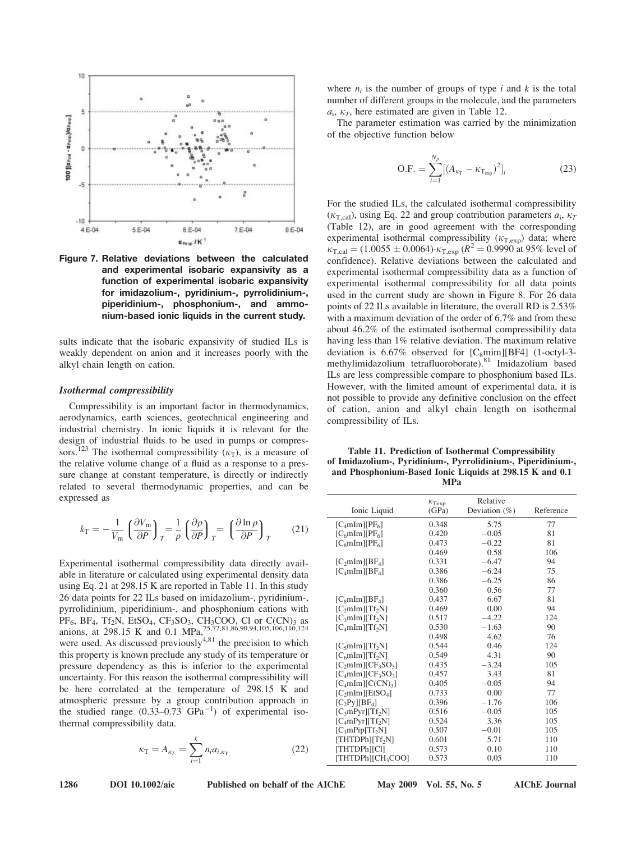

Figure 7. Relative deviations between the calculated and experimental isobaric expansivity as a function of experimental isobaric expansivity for imidazolium-, pyridinium-, pyrrolidinium-, piperidinium-, phosphonium-, and ammonium-based ionic liquids in the current study.

sults indicate that the isobaric expansivity of studied ILs is weakly dependent on anion and it increases poorly with the alkyl chain length on cation.

# Isothermal compressibility

Compressibility is an important factor in thermodynamics, aerodynamics, earth sciences, geotechnical engineering and industrial chemistry. In ionic liquids it is relevant for the design of industrial fluids to be used in pumps or compressors.<sup>123</sup> The isothermal compressibility  $(k_T)$ , is a measure of the relative volume change of a fluid as a response to a pressure change at constant temperature, is directly or indirectly related to several thermodynamic properties, and can be expressed as

$$
k_{\rm T} = -\frac{1}{V_{\rm m}} \left( \frac{\partial V_{\rm m}}{\partial P} \right)_T = \frac{1}{\rho} \left( \frac{\partial \rho}{\partial P} \right)_T = \left( \frac{\partial \ln \rho}{\partial P} \right)_T \tag{21}
$$

Experimental isothermal compressibility data directly available in literature or calculated using experimental density data using Eq. 21 at 298.15 K are reported in Table 11. In this study 26 data points for 22 ILs based on imidazolium-, pyridinium-, pyrrolidinium, piperidinium-, and phosphonium cations with  $PF_6$ ,  $BF_4$ ,  $Tf_2N$ ,  $EtSO_4$ ,  $CF_3SO_3$ ,  $CH_3COO$ ,  $Cl$  or  $C(CN)_3$  as anions, at 298.15 K and 0.1 MPa,  $75,77,81,86,90,94,105,106,110,124$ were used. As discussed previously<sup>4,81</sup> the precision to which this property is known preclude any study of its temperature or pressure dependency as this is inferior to the experimental uncertainty. For this reason the isothermal compressibility will be here correlated at the temperature of 298.15 K and atmospheric pressure by a group contribution approach in the studied range  $(0.33-0.73 \text{ GPa}^{-1})$  of experimental isothermal compressibility data.

$$
\kappa_{\rm T} = A_{\kappa_{\rm T}} = \sum_{i=1}^{k} n_i a_{i,\kappa_{\rm T}} \tag{22}
$$

where  $n_i$  is the number of groups of type i and k is the total number of different groups in the molecule, and the parameters  $a_i$ ,  $\kappa_T$ , here estimated are given in Table 12.

The parameter estimation was carried by the minimization of the objective function below

$$
O.F. = \sum_{i=1}^{N_p} [(A_{\kappa_T} - \kappa_{T_{exp}})^2]_i
$$
 (23)

For the studied ILs, the calculated isothermal compressibility  $(\kappa_{T,\text{cal}})$ , using Eq. 22 and group contribution parameters  $a_i$ ,  $\kappa_T$ (Table 12), are in good agreement with the corresponding experimental isothermal compressibility ( $\kappa_{\text{T,exp}}$ ) data; where  $K_{\text{T,cal}} = (1.0055 \pm 0.0064) \cdot K_{\text{T,exp}} (R^2 = 0.9990 \text{ at } 95\% \text{ level of})$ confidence). Relative deviations between the calculated and experimental isothermal compressibility data as a function of experimental isothermal compressibility for all data points used in the current study are shown in Figure 8. For 26 data points of 22 ILs available in literature, the overall RD is 2.53% with a maximum deviation of the order of 6.7% and from these about 46.2% of the estimated isothermal compressibility data having less than 1% relative deviation. The maximum relative deviation is  $6.67\%$  observed for [C<sub>8</sub>mim][BF4] (1-octyl-3methylimidazolium tetrafluoroborate).<sup>81</sup> Imidazolium based ILs are less compressible compare to phosphonium based ILs. However, with the limited amount of experimental data, it is not possible to provide any definitive conclusion on the effect of cation, anion and alkyl chain length on isothermal compressibility of ILs.

Table 11. Prediction of Isothermal Compressibility of Imidazolium-, Pyridinium-, Pyrrolidinium-, Piperidinium-, and Phosphonium-Based Ionic Liquids at 298.15 K and 0.1 MPa

| Ionic Liquid                             | $\kappa_{\rm{Texp}}$<br>(GPa) | Relative<br>Deviation $(\%)$ | Reference |
|------------------------------------------|-------------------------------|------------------------------|-----------|
| [C <sub>4</sub> mlm][PF <sub>6</sub> ]   | 0.348                         | 5.75                         | 77        |
| [C <sub>6</sub> mlm][PF <sub>6</sub> ]   | 0.420                         | $-0.05$                      | 81        |
| [C <sub>8</sub> mlm][PF <sub>6</sub> ]   | 0.473                         | $-0.22$                      | 81        |
|                                          | 0.469                         | 0.58                         | 106       |
| $[C_2mIm][BF_4]$                         | 0.331                         | $-6.47$                      | 94        |
| [C <sub>4</sub> mlm][BF <sub>4</sub> ]   | 0.386                         | $-6.24$                      | 75        |
|                                          | 0.386                         | $-6.25$                      | 86        |
|                                          | 0.360                         | 0.56                         | 77        |
| [C <sub>8</sub> mlm][BF <sub>4</sub> ]   | 0.437                         | 6.67                         | 81        |
| [C <sub>2</sub> mlm][Tf <sub>2</sub> N]  | 0.469                         | 0.00                         | 94        |
| [C <sub>3</sub> mlm][Tf <sub>2</sub> N]  | 0.517                         | $-4.22$                      | 124       |
| $[C_4mIm][Tf_2N]$                        | 0.530                         | $-1.63$                      | 90        |
|                                          | 0.498                         | 4.62                         | 76        |
|                                          | 0.544                         | 0.46                         | 124       |
| [C <sub>5</sub> mlm][Tf <sub>2</sub> N]  | 0.549                         |                              |           |
| [C <sub>6</sub> mlm][Tf <sub>2</sub> N]  |                               | 4.31                         | 90        |
| $[C2mlm][CF3SO3]$                        | 0.435                         | $-3.24$                      | 105       |
| $[C4mlm][CF3SO3]$                        | 0.457                         | 3.43                         | 81        |
| $[C_4mIm][C(CN)_3]$                      | 0.405                         | $-0.05$                      | 94        |
| [C <sub>2</sub> mlm][EtSO <sub>4</sub> ] | 0.733                         | 0.00                         | 77        |
| [C <sub>2</sub> Py][BF <sub>4</sub> ]    | 0.396                         | $-1.76$                      | 106       |
| [C <sub>3</sub> mPyr][Tf <sub>2</sub> N] | 0.516                         | $-0.05$                      | 105       |
| $[C_4mPyr][Tf_2N]$                       | 0.524                         | 3.36                         | 105       |
| [C <sub>3</sub> mPip[Tf <sub>2</sub> N]  | 0.507                         | $-0.01$                      | 105       |
| $[THTDPh][Tf_2N]$                        | 0.601                         | 5.71                         | 110       |
| [THTDPh][Cl]                             | 0.573                         | 0.10                         | 110       |
| [THTDPh][CH <sub>3</sub> COO]            | 0.573                         | 0.05                         | 110       |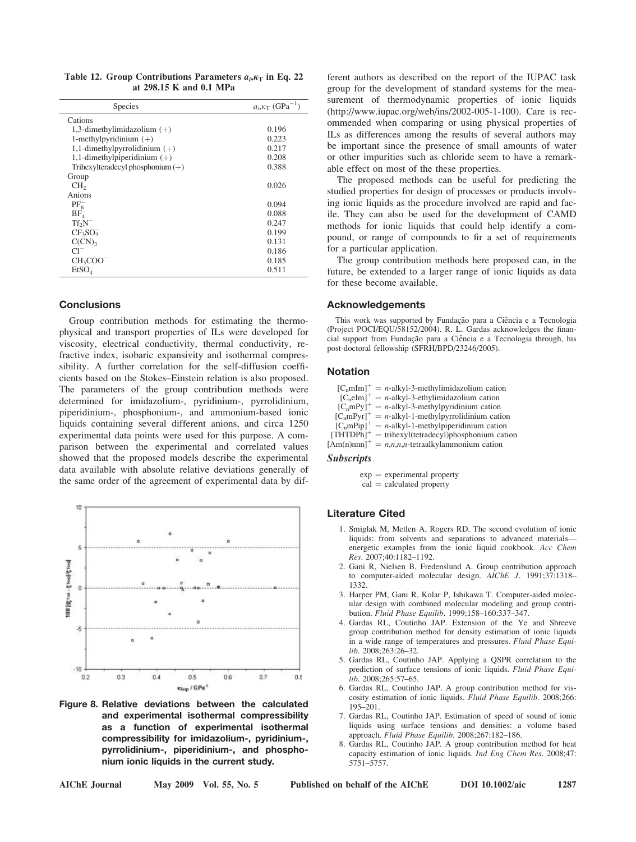Table 12. Group Contributions Parameters  $a_i, \kappa_\text{T}$  in Eq. 22 at 298.15 K and 0.1 MPa

| Species                             | $a_i, \kappa$ <sub>T</sub> (GPa <sup>-1</sup> ) |  |  |
|-------------------------------------|-------------------------------------------------|--|--|
| Cations                             |                                                 |  |  |
| 1,3-dimethylimidazolium $(+)$       | 0.196                                           |  |  |
| 1-methylpyridinium $(+)$            | 0.223                                           |  |  |
| 1,1-dimethylpyrrolidinium $(+)$     | 0.217                                           |  |  |
| 1,1-dimethylpiperidinium $(+)$      | 0.208                                           |  |  |
| Trihexylteradecyl phosphonium $(+)$ | 0.388                                           |  |  |
| Group                               |                                                 |  |  |
| CH <sub>2</sub>                     | 0.026                                           |  |  |
| Anions                              |                                                 |  |  |
| $PF_6^-$                            | 0.094                                           |  |  |
| $BF_{4}^{-}$                        | 0.088                                           |  |  |
| $Tf_2N^-$                           | 0.247                                           |  |  |
| CF <sub>3</sub> SO <sub>3</sub>     | 0.199                                           |  |  |
| C(CN) <sub>3</sub>                  | 0.131                                           |  |  |
| $Cl^-$                              | 0.186                                           |  |  |
| $CH3COO-$                           | 0.185                                           |  |  |
| EtSO <sub>4</sub>                   | 0.511                                           |  |  |

## **Conclusions**

Group contribution methods for estimating the thermophysical and transport properties of ILs were developed for viscosity, electrical conductivity, thermal conductivity, refractive index, isobaric expansivity and isothermal compressibility. A further correlation for the self-diffusion coefficients based on the Stokes–Einstein relation is also proposed. The parameters of the group contribution methods were determined for imidazolium-, pyridinium-, pyrrolidinium, piperidinium-, phosphonium-, and ammonium-based ionic liquids containing several different anions, and circa 1250 experimental data points were used for this purpose. A comparison between the experimental and correlated values showed that the proposed models describe the experimental data available with absolute relative deviations generally of the same order of the agreement of experimental data by dif-



Figure 8. Relative deviations between the calculated and experimental isothermal compressibility as a function of experimental isothermal compressibility for imidazolium-, pyridinium-, pyrrolidinium-, piperidinium-, and phosphonium ionic liquids in the current study.

ferent authors as described on the report of the IUPAC task group for the development of standard systems for the measurement of thermodynamic properties of ionic liquids (http://www.iupac.org/web/ins/2002-005-1-100). Care is recommended when comparing or using physical properties of ILs as differences among the results of several authors may be important since the presence of small amounts of water or other impurities such as chloride seem to have a remarkable effect on most of the these properties.

The proposed methods can be useful for predicting the studied properties for design of processes or products involving ionic liquids as the procedure involved are rapid and facile. They can also be used for the development of CAMD methods for ionic liquids that could help identify a compound, or range of compounds to fir a set of requirements for a particular application.

The group contribution methods here proposed can, in the future, be extended to a larger range of ionic liquids as data for these become available.

#### Acknowledgements

This work was supported by Fundação para a Ciência e a Tecnologia (Project POCI/EQU/58152/2004). R. L. Gardas acknowledges the financial support from Fundação para a Ciência e a Tecnologia through, his post-doctoral fellowship (SFRH/BPD/23246/2005).

# Notation

 $[C<sub>n</sub>mlm]$ <sup>+</sup> = *n*-alkyl-3-methylimidazolium cation

 $[C<sub>n</sub>$ elm $]$ <sup>+</sup> = *n*-alkyl-3-ethylimidazolium cation

 $[C_n mPy]^+$  = n-alkyl-3-methylpyridinium cation

 $[C<sub>n</sub>mp<sub>vr</sub>]<sup>+</sup> = n-alkyl-1-methylpyrrolidinium cation$ 

 $[C<sub>n</sub>mp<sub>j</sub>]$ <sup>+</sup> = *n*-alkyl-1-methylpiperidinium cation

 $[THTDPh]$ <sup>+</sup> = trihexyl(tetradecyl)phosphonium cation

 $[Am(n)nnn]$ <sup>+</sup> =  $n,n,n$ -tetraalkylammonium cation

#### Subscripts

 $exp = experimental property$ 

 $cal =$  calculated property

### Literature Cited

- 1. Smiglak M, Metlen A, Rogers RD. The second evolution of ionic liquids: from solvents and separations to advanced materials energetic examples from the ionic liquid cookbook. Acc Chem Res. 2007;40:1182–1192.
- 2. Gani R, Nielsen B, Fredenslund A. Group contribution approach to computer-aided molecular design. AIChE J. 1991;37:1318– 1332.
- 3. Harper PM, Gani R, Kolar P, Ishikawa T. Computer-aided molecular design with combined molecular modeling and group contribution. Fluid Phase Equilib. 1999;158–160:337–347.
- 4. Gardas RL, Coutinho JAP. Extension of the Ye and Shreeve group contribution method for density estimation of ionic liquids in a wide range of temperatures and pressures. Fluid Phase Equilib. 2008;263:26–32.
- 5. Gardas RL, Coutinho JAP. Applying a QSPR correlation to the prediction of surface tensions of ionic liquids. Fluid Phase Equilib. 2008;265:57–65.
- 6. Gardas RL, Coutinho JAP. A group contribution method for viscosity estimation of ionic liquids. Fluid Phase Equilib. 2008;266: 195–201.
- 7. Gardas RL, Coutinho JAP. Estimation of speed of sound of ionic liquids using surface tensions and densities: a volume based approach. Fluid Phase Equilib. 2008;267:182-186.
- Gardas RL, Coutinho JAP. A group contribution method for heat capacity estimation of ionic liquids. Ind Eng Chem Res. 2008;47: 5751–5757.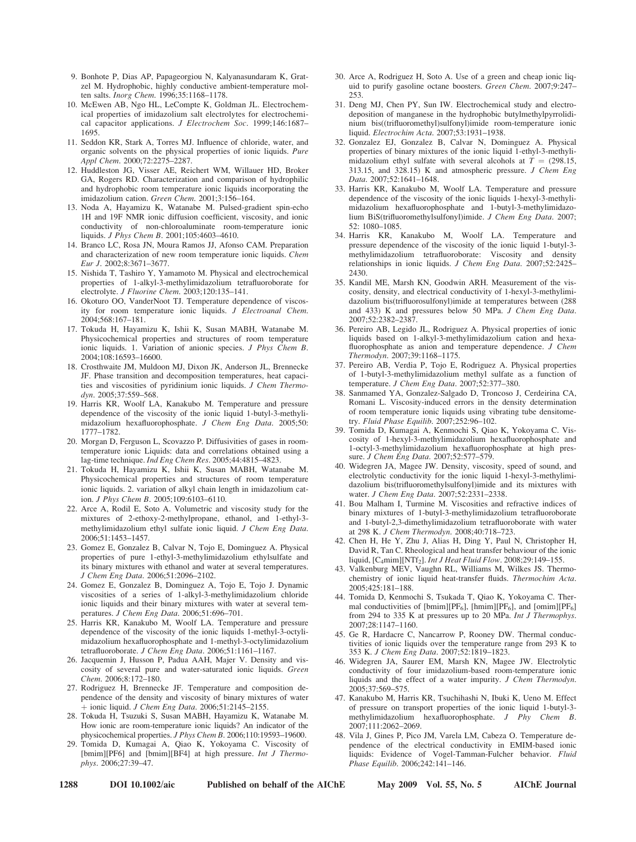- 9. Bonhote P, Dias AP, Papageorgiou N, Kalyanasundaram K, Gratzel M. Hydrophobic, highly conductive ambient-temperature molten salts. Inorg Chem. 1996;35:1168–1178.
- 10. McEwen AB, Ngo HL, LeCompte K, Goldman JL. Electrochemical properties of imidazolium salt electrolytes for electrochemical capacitor applications. J Electrochem Soc. 1999;146:1687– 1695.
- 11. Seddon KR, Stark A, Torres MJ. Influence of chloride, water, and organic solvents on the physical properties of ionic liquids. Pure Appl Chem. 2000;72:2275–2287.
- 12. Huddleston JG, Visser AE, Reichert WM, Willauer HD, Broker GA, Rogers RD. Characterization and comparison of hydrophilic and hydrophobic room temperature ionic liquids incorporating the imidazolium cation. Green Chem. 2001;3:156–164.
- 13. Noda A, Hayamizu K, Watanabe M. Pulsed-gradient spin-echo 1H and 19F NMR ionic diffusion coefficient, viscosity, and ionic conductivity of non-chloroaluminate room-temperature ionic liquids. J Phys Chem B. 2001;105:4603–4610.
- 14. Branco LC, Rosa JN, Moura Ramos JJ, Afonso CAM. Preparation and characterization of new room temperature ionic liquids. Chem Eur J. 2002;8:3671–3677.
- 15. Nishida T, Tashiro Y, Yamamoto M. Physical and electrochemical properties of 1-alkyl-3-methylimidazolium tetrafluoroborate for electrolyte. J Fluorine Chem. 2003;120:135–141.
- 16. Okoturo OO, VanderNoot TJ. Temperature dependence of viscosity for room temperature ionic liquids. J Electroanal Chem. 2004;568:167–181.
- 17. Tokuda H, Hayamizu K, Ishii K, Susan MABH, Watanabe M. Physicochemical properties and structures of room temperature ionic liquids. 1. Variation of anionic species. J Phys Chem B. 2004;108:16593–16600.
- 18. Crosthwaite JM, Muldoon MJ, Dixon JK, Anderson JL, Brennecke JF. Phase transition and decomposition temperatures, heat capacities and viscosities of pyridinium ionic liquids. J Chem Thermodyn. 2005;37:559–568.
- 19. Harris KR, Woolf LA, Kanakubo M. Temperature and pressure dependence of the viscosity of the ionic liquid 1-butyl-3-methylimidazolium hexafluorophosphate. J Chem Eng Data. 2005;50: 1777–1782.
- 20. Morgan D, Ferguson L, Scovazzo P. Diffusivities of gases in roomtemperature ionic Liquids: data and correlations obtained using a lag-time technique. Ind Eng Chem Res. 2005;44:4815–4823.
- 21. Tokuda H, Hayamizu K, Ishii K, Susan MABH, Watanabe M. Physicochemical properties and structures of room temperature ionic liquids. 2. variation of alkyl chain length in imidazolium cation. J Phys Chem B. 2005;109:6103–6110.
- 22. Arce A, Rodil E, Soto A. Volumetric and viscosity study for the mixtures of 2-ethoxy-2-methylpropane, ethanol, and 1-ethyl-3 methylimidazolium ethyl sulfate ionic liquid. J Chem Eng Data. 2006;51:1453–1457.
- 23. Gomez E, Gonzalez B, Calvar N, Tojo E, Dominguez A. Physical properties of pure 1-ethyl-3-methylimidazolium ethylsulfate and its binary mixtures with ethanol and water at several temperatures. J Chem Eng Data. 2006;51:2096–2102.
- 24. Gomez E, Gonzalez B, Dominguez A, Tojo E, Tojo J. Dynamic viscosities of a series of 1-alkyl-3-methylimidazolium chloride ionic liquids and their binary mixtures with water at several temperatures. J Chem Eng Data. 2006;51:696–701.
- 25. Harris KR, Kanakubo M, Woolf LA. Temperature and pressure dependence of the viscosity of the ionic liquids 1-methyl-3-octylimidazolium hexafluorophosphate and 1-methyl-3-octylimidazolium tetrafluoroborate. J Chem Eng Data. 2006;51:1161-1167.
- 26. Jacquemin J, Husson P, Padua AAH, Majer V. Density and viscosity of several pure and water-saturated ionic liquids. Green Chem. 2006;8:172–180.
- 27. Rodriguez H, Brennecke JF. Temperature and composition dependence of the density and viscosity of binary mixtures of water *ionic liquid. J Chem Eng Data.* 2006;51:2145-2155.
- 28. Tokuda H, Tsuzuki S, Susan MABH, Hayamizu K, Watanabe M. How ionic are room-temperature ionic liquids? An indicator of the physicochemical properties. J Phys Chem B. 2006;110:19593–19600.
- 29. Tomida D, Kumagai A, Qiao K, Yokoyama C. Viscosity of [bmim][PF6] and [bmim][BF4] at high pressure. Int J Thermophys. 2006;27:39–47.
- 30. Arce A, Rodriguez H, Soto A. Use of a green and cheap ionic liquid to purify gasoline octane boosters. Green Chem. 2007;9:247– 253.
- 31. Deng MJ, Chen PY, Sun IW. Electrochemical study and electrodeposition of manganese in the hydrophobic butylmethylpyrrolidinium bis((trifluoromethyl)sulfonyl)imide room-temperature ionic liquid. Electrochim Acta. 2007;53:1931–1938.
- 32. Gonzalez EJ, Gonzalez B, Calvar N, Dominguez A. Physical properties of binary mixtures of the ionic liquid 1-ethyl-3-methylimidazolium ethyl sulfate with several alcohols at  $T = (298.15,$ 313.15, and 328.15) K and atmospheric pressure. J Chem Eng Data. 2007;52:1641–1648.
- 33. Harris KR, Kanakubo M, Woolf LA. Temperature and pressure dependence of the viscosity of the ionic liquids 1-hexyl-3-methylimidazolium hexafluorophosphate and 1-butyl-3-methylimidazolium BiS(trifluoromethylsulfonyl)imide. J Chem Eng Data. 2007; 52: 1080–1085.
- 34. Harris KR, Kanakubo M, Woolf LA. Temperature and pressure dependence of the viscosity of the ionic liquid 1-butyl-3 methylimidazolium tetrafluoroborate: Viscosity and density relationships in ionic liquids. J Chem Eng Data. 2007;52:2425– 2430.
- 35. Kandil ME, Marsh KN, Goodwin ARH. Measurement of the viscosity, density, and electrical conductivity of 1-hexyl-3-methylimidazolium bis(trifluorosulfonyl)imide at temperatures between (288 and 433) K and pressures below 50 MPa. J Chem Eng Data. 2007;52:2382–2387.
- 36. Pereiro AB, Legido JL, Rodriguez A. Physical properties of ionic liquids based on 1-alkyl-3-methylimidazolium cation and hexafluorophosphate as anion and temperature dependence. *J Chem* Thermodyn. 2007;39:1168–1175.
- 37. Pereiro AB, Verdia P, Tojo E, Rodriguez A. Physical properties of 1-butyl-3-methylimidazolium methyl sulfate as a function of temperature. J Chem Eng Data. 2007;52:377-380.
- 38. Sanmamed YA, Gonzalez-Salgado D, Troncoso J, Cerdeirina CA, Romani L. Viscosity-induced errors in the density determination of room temperature ionic liquids using vibrating tube densitometry. Fluid Phase Equilib. 2007;252:96–102.
- 39. Tomida D, Kumagai A, Kenmochi S, Qiao K, Yokoyama C. Viscosity of 1-hexyl-3-methylimidazolium hexafluorophosphate and 1-octyl-3-methylimidazolium hexafluorophosphate at high pressure. *J Chem Eng Data.* 2007;52:577–579.
- 40. Widegren JA, Magee JW. Density, viscosity, speed of sound, and electrolytic conductivity for the ionic liquid 1-hexyl-3-methylimidazolium bis(trifluoromethylsulfonyl)imide and its mixtures with water. J Chem Eng Data. 2007;52:2331–2338.
- 41. Bou Malham I, Turmine M. Viscosities and refractive indices of binary mixtures of 1-butyl-3-methylimidazolium tetrafluoroborate and 1-butyl-2,3-dimethylimidazolium tetrafluoroborate with water at 298 K. J Chem Thermodyn. 2008;40:718–723.
- 42. Chen H, He Y, Zhu J, Alias H, Ding Y, Paul N, Christopher H, David R, Tan C. Rheological and heat transfer behaviour of the ionic liquid, [C<sub>4</sub>mim][NTf<sub>2</sub>]. Int J Heat Fluid Flow. 2008;29:149-155.
- 43. Valkenburg MEV, Vaughn RL, Williams M, Wilkes JS. Thermochemistry of ionic liquid heat-transfer fluids. Thermochim Acta. 2005;425:181–188.
- 44. Tomida D, Kenmochi S, Tsukada T, Qiao K, Yokoyama C. Thermal conductivities of [bmim][ $PF_6$ ], [hmim][ $PF_6$ ], and [omim][ $PF_6$ ] from 294 to 335 K at pressures up to 20 MPa. Int J Thermophys. 2007;28:1147–1160.
- 45. Ge R, Hardacre C, Nancarrow P, Rooney DW. Thermal conductivities of ionic liquids over the temperature range from 293 K to 353 K. J Chem Eng Data. 2007;52:1819–1823.
- 46. Widegren JA, Saurer EM, Marsh KN, Magee JW. Electrolytic conductivity of four imidazolium-based room-temperature ionic liquids and the effect of a water impurity. J Chem Thermodyn. 2005;37:569–575.
- 47. Kanakubo M, Harris KR, Tsuchihashi N, Ibuki K, Ueno M. Effect of pressure on transport properties of the ionic liquid 1-butyl-3 methylimidazolium hexafluorophosphate. J Phy Chem B. 2007;111:2062–2069.
- 48. Vila J, Gines P, Pico JM, Varela LM, Cabeza O. Temperature dependence of the electrical conductivity in EMIM-based ionic liquids: Evidence of Vogel-Tamman-Fulcher behavior. Fluid Phase Equilib. 2006;242:141–146.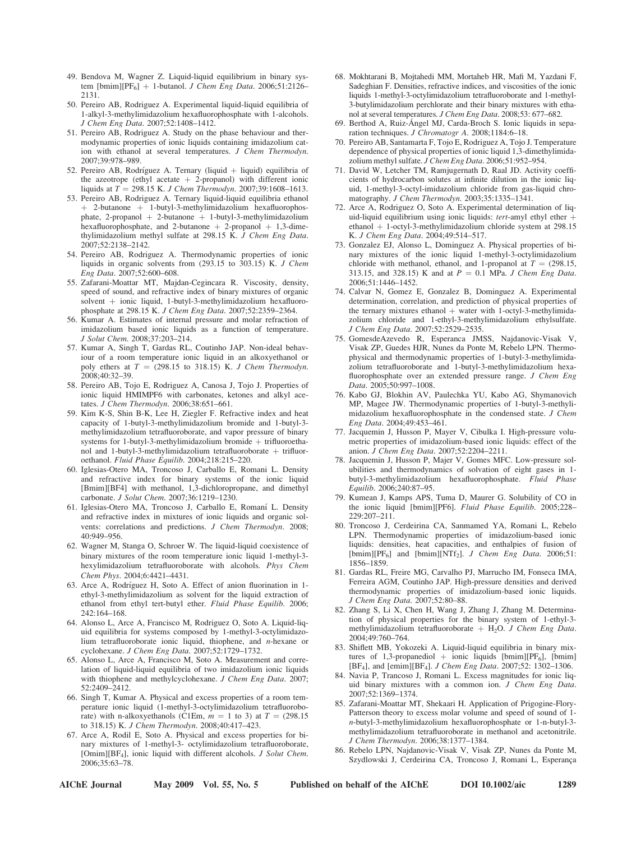- 49. Bendova M, Wagner Z. Liquid-liquid equilibrium in binary system [bmim][PF $_6$ ] + 1-butanol. J Chem Eng Data. 2006;51:2126– 2131.
- 50. Pereiro AB, Rodriguez A. Experimental liquid-liquid equilibria of 1-alkyl-3-methylimidazolium hexafluorophosphate with 1-alcohols. J Chem Eng Data. 2007;52:1408–1412.
- 51. Pereiro AB, Rodriguez A. Study on the phase behaviour and thermodynamic properties of ionic liquids containing imidazolium cation with ethanol at several temperatures. J Chem Thermodyn. 2007;39:978–989.
- 52. Pereiro AB, Rodríguez A. Ternary (liquid + liquid) equilibria of the azeotrope (ethyl acetate  $+$  2-propanol) with different ionic liquids at  $T = 298.15$  K. J Chem Thermodyn. 2007;39:1608-1613.
- 53. Pereiro AB, Rodriguez A. Ternary liquid-liquid equilibria ethanol  $+$  2-butanone  $+$  1-butyl-3-methylimidazolium hexafluorophosphate, 2-propanol  $+$  2-butanone  $+$  1-butyl-3-methylimidazolium hexafluorophosphate, and 2-butanone  $+$  2-propanol  $+$  1,3-dimethylimidazolium methyl sulfate at 298.15 K. J Chem Eng Data. 2007;52:2138–2142.
- 54. Pereiro AB, Rodriguez A. Thermodynamic properties of ionic liquids in organic solvents from  $(293.15 \text{ to } 303.15) \text{ K}$ . *J Chem* Eng Data. 2007;52:600–608.
- 55. Zafarani-Moattar MT, Majdan-Cegincara R. Viscosity, density, speed of sound, and refractive index of binary mixtures of organic  $solvent + ionic liquid, 1-butyl-3-methylimidazolium hexafluoro$ phosphate at 298.15 K. J Chem Eng Data. 2007;52:2359–2364.
- 56. Kumar A. Estimates of internal pressure and molar refraction of imidazolium based ionic liquids as a function of temperature. J Solut Chem. 2008;37:203–214.
- 57. Kumar A, Singh T, Gardas RL, Coutinho JAP. Non-ideal behaviour of a room temperature ionic liquid in an alkoxyethanol or poly ethers at  $T = (298.15 \text{ to } 318.15) \text{ K}$ . J Chem Thermodyn.  $2008:40:32-39.$
- 58. Pereiro AB, Tojo E, Rodriguez A, Canosa J, Tojo J. Properties of ionic liquid HMIMPF6 with carbonates, ketones and alkyl acetates. J Chem Thermodyn. 2006;38:651–661.
- 59. Kim K-S, Shin B-K, Lee H, Ziegler F. Refractive index and heat capacity of 1-butyl-3-methylimidazolium bromide and 1-butyl-3 methylimidazolium tetrafluoroborate, and vapor pressure of binary systems for 1-butyl-3-methylimidazolium bromide  $+$  trifluoroethanol and 1-butyl-3-methylimidazolium tetrafluoroborate  $+$  trifluoroethanol. Fluid Phase Equilib. 2004;218:215–220.
- 60. Iglesias-Otero MA, Troncoso J, Carballo E, Romani L. Density and refractive index for binary systems of the ionic liquid [Bmim][BF4] with methanol, 1,3-dichloropropane, and dimethyl carbonate. J Solut Chem. 2007;36:1219–1230.
- 61. Iglesias-Otero MA, Troncoso J, Carballo E, Romaní L. Density and refractive index in mixtures of ionic liquids and organic solvents: correlations and predictions. J Chem Thermodyn. 2008; 40:949–956.
- 62. Wagner M, Stanga O, Schroer W. The liquid-liquid coexistence of binary mixtures of the room temperature ionic liquid 1-methyl-3 hexylimidazolium tetrafluoroborate with alcohols. Phys Chem Chem Phys. 2004;6:4421–4431.
- 63. Arce A, Rodríguez H, Soto A. Effect of anion fluorination in 1ethyl-3-methylimidazolium as solvent for the liquid extraction of ethanol from ethyl tert-butyl ether. Fluid Phase Equilib. 2006; 242:164–168.
- 64. Alonso L, Arce A, Francisco M, Rodriguez O, Soto A. Liquid-liquid equilibria for systems composed by 1-methyl-3-octylimidazolium tetrafluoroborate ionic liquid, thiophene, and n-hexane or cyclohexane. J Chem Eng Data. 2007;52:1729–1732.
- 65. Alonso L, Arce A, Francisco M, Soto A. Measurement and correlation of liquid-liquid equilibria of two imidazolium ionic liquids with thiophene and methylcyclohexane. J Chem Eng Data. 2007; 52:2409–2412.
- 66. Singh T, Kumar A. Physical and excess properties of a room temperature ionic liquid (1-methyl-3-octylimidazolium tetrafluoroborate) with n-alkoxyethanols (C1Em,  $m = 1$  to 3) at  $T = (298.15$ to 318.15) K. J Chem Thermodyn. 2008;40:417–423.
- 67. Arce A, Rodil E, Soto A. Physical and excess properties for binary mixtures of 1-methyl-3- octylimidazolium tetrafluoroborate, [Omim][BF<sub>4</sub>], ionic liquid with different alcohols. *J Solut Chem*. 2006;35:63–78.
- 68. Mokhtarani B, Mojtahedi MM, Mortaheb HR, Mafi M, Yazdani F, Sadeghian F. Densities, refractive indices, and viscosities of the ionic liquids 1-methyl-3-octylimidazolium tetrafluoroborate and 1-methyl-3-butylimidazolium perchlorate and their binary mixtures with ethanol at several temperatures. J Chem Eng Data. 2008;53: 677–682.
- 69. Berthod A, Ruiz-Ángel MJ, Carda-Broch S. Ionic liquids in separation techniques. J Chromatogr A. 2008;1184:6–18.
- 70. Pereiro AB, Santamarta F, Tojo E, Rodriguez A, Tojo J. Temperature dependence of physical properties of ionic liquid 1,3-dimethylimidazolium methyl sulfate. J Chem Eng Data. 2006;51:952-954.
- 71. David W, Letcher TM, Ramjugernath D, Raal JD. Activity coefficients of hydrocarbon solutes at infinite dilution in the ionic liquid, 1-methyl-3-octyl-imidazolium chloride from gas-liquid chromatography. J Chem Thermodyn. 2003;35:1335–1341.
- 72. Arce A, Rodriguez O, Soto A. Experimental determination of liquid-liquid equilibrium using ionic liquids: tert-amyl ethyl ether  $+$ ethanol  $+$  1-octyl-3-methylimidazolium chloride system at 298.15 K. J Chem Eng Data. 2004;49:514–517.
- 73. Gonzalez EJ, Alonso L, Dominguez A. Physical properties of binary mixtures of the ionic liquid 1-methyl-3-octylimidazolium chloride with methanol, ethanol, and 1-propanol at  $T = (298.15,$ 313.15, and 328.15) K and at  $P = 0.1$  MPa. J Chem Eng Data. 2006;51:1446–1452.
- 74. Calvar N, Gomez E, Gonzalez B, Dominguez A. Experimental determination, correlation, and prediction of physical properties of the ternary mixtures ethanol  $+$  water with 1-octyl-3-methylimidazolium chloride and 1-ethyl-3-methylimidazolium ethylsulfate. J Chem Eng Data. 2007;52:2529–2535.
- 75. GomesdeAzevedo R, Esperanca JMSS, Najdanovic-Visak V, Visak ZP, Guedes HJR, Nunes da Ponte M, Rebelo LPN. Thermophysical and thermodynamic properties of 1-butyl-3-methylimidazolium tetrafluoroborate and 1-butyl-3-methylimidazolium hexafluorophosphate over an extended pressure range. *J Chem Eng* Data. 2005;50:997–1008.
- 76. Kabo GJ, Blokhin AV, Paulechka YU, Kabo AG, Shymanovich MP, Magee JW. Thermodynamic properties of 1-butyl-3-methylimidazolium hexafluorophosphate in the condensed state. J Chem Eng Data. 2004;49:453–461.
- 77. Jacquemin J, Husson P, Mayer V, Cibulka I. High-pressure volumetric properties of imidazolium-based ionic liquids: effect of the anion. J Chem Eng Data. 2007;52:2204–2211.
- 78. Jacquemin J, Husson P, Majer V, Gomes MFC. Low-pressure solubilities and thermodynamics of solvation of eight gases in 1 butyl-3-methylimidazolium hexafluorophosphate. Fluid Phase Equilib. 2006;240:87–95.
- 79. Kumean J, Kamps APS, Tuma D, Maurer G. Solubility of CO in the ionic liquid [bmim][PF6]. Fluid Phase Equilib. 2005;228– 229:207–211.
- 80. Troncoso J, Cerdeirina CA, Sanmamed YA, Romani L, Rebelo LPN. Thermodynamic properties of imidazolium-based ionic liquids: densities, heat capacities, and enthalpies of fusion of [bmim][ $PF_6$ ] and [bmim][ $NTf_2$ ]. *J Chem Eng Data*. 2006;51: 1856–1859.
- 81. Gardas RL, Freire MG, Carvalho PJ, Marrucho IM, Fonseca IMA, Ferreira AGM, Coutinho JAP. High-pressure densities and derived thermodynamic properties of imidazolium-based ionic liquids. J Chem Eng Data. 2007;52:80–88.
- 82. Zhang S, Li X, Chen H, Wang J, Zhang J, Zhang M. Determination of physical properties for the binary system of 1-ethyl-3 methylimidazolium tetrafluoroborate + H<sub>2</sub>O. J Chem Eng Data. 2004;49:760–764.
- 83. Shiflett MB, Yokozeki A. Liquid-liquid equilibria in binary mixtures of 1,3-propanediol + ionic liquids  $[bmin][PF_6]$ ,  $[bmin]$ [BF<sub>4</sub>], and [emim][BF<sub>4</sub>]. *J Chem Eng Data*. 2007;52: 1302-1306.
- 84. Navia P, Trancoso J, Romani L. Excess magnitudes for ionic liquid binary mixtures with a common ion. J Chem Eng Data. 2007;52:1369–1374.
- 85. Zafarani-Moattar MT, Shekaari H. Application of Prigogine-Flory-Patterson theory to excess molar volume and speed of sound of 1 n-butyl-3-methylimidazolium hexafluorophosphate or 1-n-butyl-3 methylimidazolium tetrafluoroborate in methanol and acetonitrile. J Chem Thermodyn. 2006;38:1377–1384.
- 86. Rebelo LPN, Najdanovic-Visak V, Visak ZP, Nunes da Ponte M, Szydlowski J, Cerdeirina CA, Troncoso J, Romani L, Esperança